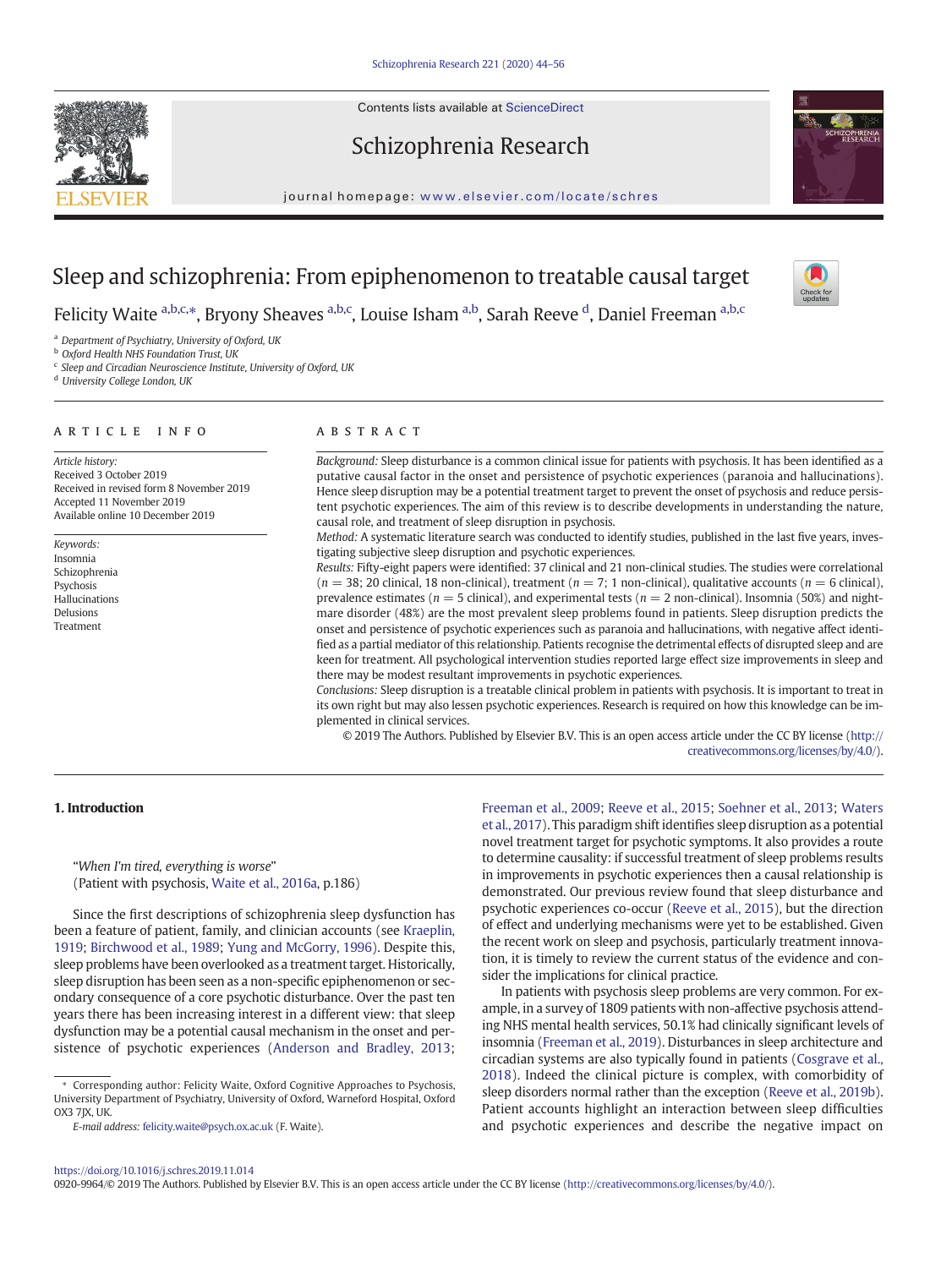Contents lists available at ScienceDirect



## Schizophrenia Research



journal homepage: <www.elsevier.com/locate/schres>

# Sleep and schizophrenia: From epiphenomenon to treatable causal target

Felicity Waite <sup>a,b,c,\*</sup>, Bryony Sheaves <sup>a,b,c</sup>, Louise Isham <sup>a,b</sup>, Sarah Reeve <sup>d</sup>, Daniel Freeman <sup>a,b,c</sup>

<sup>a</sup> Department of Psychiatry, University of Oxford, UK

**b** Oxford Health NHS Foundation Trust, UK

<sup>c</sup> Sleep and Circadian Neuroscience Institute, University of Oxford, UK

<sup>d</sup> University College London, UK

## article info abstract

Article history: Received 3 October 2019 Received in revised form 8 November 2019 Accepted 11 November 2019 Available online 10 December 2019

Keywords: Insomnia Schizophrenia **Psychosis** Hallucinations Delusions Treatment

Background: Sleep disturbance is a common clinical issue for patients with psychosis. It has been identified as a putative causal factor in the onset and persistence of psychotic experiences (paranoia and hallucinations). Hence sleep disruption may be a potential treatment target to prevent the onset of psychosis and reduce persistent psychotic experiences. The aim of this review is to describe developments in understanding the nature, causal role, and treatment of sleep disruption in psychosis.

Method: A systematic literature search was conducted to identify studies, published in the last five years, investigating subjective sleep disruption and psychotic experiences.

Results: Fifty-eight papers were identified: 37 clinical and 21 non-clinical studies. The studies were correlational  $(n = 38; 20 \text{ clinical}, 18 \text{ non-clinical})$ , treatment  $(n = 7; 1 \text{ non-clinical})$ , qualitative accounts  $(n = 6 \text{ clinical})$ , prevalence estimates ( $n = 5$  clinical), and experimental tests ( $n = 2$  non-clinical). Insomnia (50%) and nightmare disorder (48%) are the most prevalent sleep problems found in patients. Sleep disruption predicts the onset and persistence of psychotic experiences such as paranoia and hallucinations, with negative affect identified as a partial mediator of this relationship. Patients recognise the detrimental effects of disrupted sleep and are keen for treatment. All psychological intervention studies reported large effect size improvements in sleep and there may be modest resultant improvements in psychotic experiences.

Conclusions: Sleep disruption is a treatable clinical problem in patients with psychosis. It is important to treat in its own right but may also lessen psychotic experiences. Research is required on how this knowledge can be implemented in clinical services.

© 2019 The Authors. Published by Elsevier B.V. This is an open access article under the CC BY license [\(http://](http://creativecommons.org/licenses/by/4.0/) [creativecommons.org/licenses/by/4.0/](http://creativecommons.org/licenses/by/4.0/)).

## 1. Introduction

"When I'm tired, everything is worse" (Patient with psychosis, [Waite et al., 2016a](#page-12-0), p.186)

Since the first descriptions of schizophrenia sleep dysfunction has been a feature of patient, family, and clinician accounts (see [Kraeplin,](#page-11-0) [1919;](#page-11-0) [Birchwood et al., 1989](#page-11-0); [Yung and McGorry, 1996\)](#page-12-0). Despite this, sleep problems have been overlooked as a treatment target. Historically, sleep disruption has been seen as a non-specific epiphenomenon or secondary consequence of a core psychotic disturbance. Over the past ten years there has been increasing interest in a different view: that sleep dysfunction may be a potential causal mechanism in the onset and persistence of psychotic experiences ([Anderson and Bradley, 2013](#page-11-0);

⁎ Corresponding author: Felicity Waite, Oxford Cognitive Approaches to Psychosis, University Department of Psychiatry, University of Oxford, Warneford Hospital, Oxford OX3 7JX, UK.

[Freeman et al., 2009;](#page-11-0) [Reeve et al., 2015;](#page-12-0) [Soehner et al., 2013;](#page-12-0) [Waters](#page-12-0) [et al., 2017](#page-12-0)). This paradigm shift identifies sleep disruption as a potential novel treatment target for psychotic symptoms. It also provides a route to determine causality: if successful treatment of sleep problems results in improvements in psychotic experiences then a causal relationship is demonstrated. Our previous review found that sleep disturbance and psychotic experiences co-occur ([Reeve et al., 2015](#page-12-0)), but the direction of effect and underlying mechanisms were yet to be established. Given the recent work on sleep and psychosis, particularly treatment innovation, it is timely to review the current status of the evidence and consider the implications for clinical practice.

In patients with psychosis sleep problems are very common. For example, in a survey of 1809 patients with non-affective psychosis attending NHS mental health services, 50.1% had clinically significant levels of insomnia ([Freeman et al., 2019\)](#page-11-0). Disturbances in sleep architecture and circadian systems are also typically found in patients ([Cosgrave et al.,](#page-11-0) [2018](#page-11-0)). Indeed the clinical picture is complex, with comorbidity of sleep disorders normal rather than the exception [\(Reeve et al., 2019b\)](#page-12-0). Patient accounts highlight an interaction between sleep difficulties and psychotic experiences and describe the negative impact on

0920-9964/© 2019 The Authors. Published by Elsevier B.V. This is an open access article under the CC BY license [\(http://creativecommons.org/licenses/by/4.0/\)](http://creativecommons.org/licenses/by/4.0/).

E-mail address: [felicity.waite@psych.ox.ac.uk](mailto:felicity.waite@psych.ox.ac.uk) (F. Waite).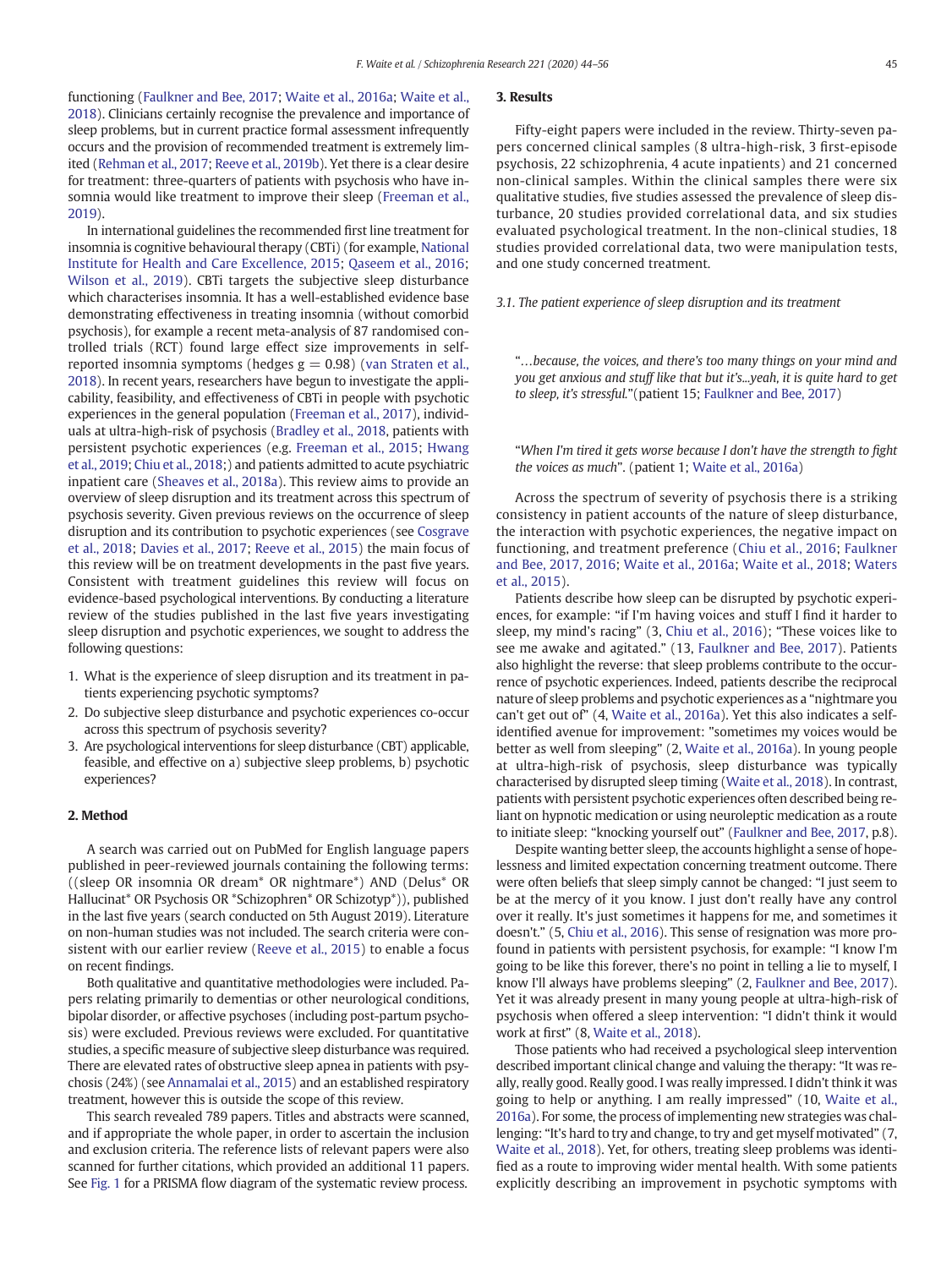functioning ([Faulkner and Bee, 2017;](#page-11-0) [Waite et al., 2016a;](#page-12-0) [Waite et al.,](#page-12-0) [2018](#page-12-0)). Clinicians certainly recognise the prevalence and importance of sleep problems, but in current practice formal assessment infrequently occurs and the provision of recommended treatment is extremely limited [\(Rehman et al., 2017](#page-12-0); [Reeve et al., 2019b\)](#page-12-0). Yet there is a clear desire for treatment: three-quarters of patients with psychosis who have insomnia would like treatment to improve their sleep ([Freeman et al.,](#page-11-0) [2019](#page-11-0)).

In international guidelines the recommended first line treatment for insomnia is cognitive behavioural therapy (CBTi) (for example, [National](#page-11-0) [Institute for Health and Care Excellence, 2015;](#page-11-0) [Qaseem et al., 2016;](#page-12-0) [Wilson et al., 2019\)](#page-12-0). CBTi targets the subjective sleep disturbance which characterises insomnia. It has a well-established evidence base demonstrating effectiveness in treating insomnia (without comorbid psychosis), for example a recent meta-analysis of 87 randomised controlled trials (RCT) found large effect size improvements in selfreported insomnia symptoms (hedges  $g = 0.98$ ) ([van Straten et al.,](#page-12-0) [2018](#page-12-0)). In recent years, researchers have begun to investigate the applicability, feasibility, and effectiveness of CBTi in people with psychotic experiences in the general population ([Freeman et al., 2017\)](#page-11-0), individuals at ultra-high-risk of psychosis ([Bradley et al., 2018,](#page-11-0) patients with persistent psychotic experiences (e.g. [Freeman et al., 2015;](#page-11-0) [Hwang](#page-11-0) [et al., 2019;](#page-11-0) [Chiu et al., 2018](#page-11-0);) and patients admitted to acute psychiatric inpatient care ([Sheaves et al., 2018a\)](#page-12-0). This review aims to provide an overview of sleep disruption and its treatment across this spectrum of psychosis severity. Given previous reviews on the occurrence of sleep disruption and its contribution to psychotic experiences (see [Cosgrave](#page-11-0) [et al., 2018;](#page-11-0) [Davies et al., 2017;](#page-11-0) [Reeve et al., 2015](#page-12-0)) the main focus of this review will be on treatment developments in the past five years. Consistent with treatment guidelines this review will focus on evidence-based psychological interventions. By conducting a literature review of the studies published in the last five years investigating sleep disruption and psychotic experiences, we sought to address the following questions:

- 1. What is the experience of sleep disruption and its treatment in patients experiencing psychotic symptoms?
- 2. Do subjective sleep disturbance and psychotic experiences co-occur across this spectrum of psychosis severity?
- 3. Are psychological interventions for sleep disturbance (CBT) applicable, feasible, and effective on a) subjective sleep problems, b) psychotic experiences?

## 2. Method

A search was carried out on PubMed for English language papers published in peer-reviewed journals containing the following terms: ((sleep OR insomnia OR dream\* OR nightmare\*) AND (Delus\* OR Hallucinat\* OR Psychosis OR \*Schizophren\* OR Schizotyp\*)), published in the last five years (search conducted on 5th August 2019). Literature on non-human studies was not included. The search criteria were consistent with our earlier review ([Reeve et al., 2015\)](#page-12-0) to enable a focus on recent findings.

Both qualitative and quantitative methodologies were included. Papers relating primarily to dementias or other neurological conditions, bipolar disorder, or affective psychoses (including post-partum psychosis) were excluded. Previous reviews were excluded. For quantitative studies, a specific measure of subjective sleep disturbance was required. There are elevated rates of obstructive sleep apnea in patients with psychosis (24%) (see [Annamalai et al., 2015](#page-11-0)) and an established respiratory treatment, however this is outside the scope of this review.

This search revealed 789 papers. Titles and abstracts were scanned, and if appropriate the whole paper, in order to ascertain the inclusion and exclusion criteria. The reference lists of relevant papers were also scanned for further citations, which provided an additional 11 papers. See [Fig. 1](#page-2-0) for a PRISMA flow diagram of the systematic review process.

## 3. Results

Fifty-eight papers were included in the review. Thirty-seven papers concerned clinical samples (8 ultra-high-risk, 3 first-episode psychosis, 22 schizophrenia, 4 acute inpatients) and 21 concerned non-clinical samples. Within the clinical samples there were six qualitative studies, five studies assessed the prevalence of sleep disturbance, 20 studies provided correlational data, and six studies evaluated psychological treatment. In the non-clinical studies, 18 studies provided correlational data, two were manipulation tests, and one study concerned treatment.

3.1. The patient experience of sleep disruption and its treatment

"…because, the voices, and there's too many things on your mind and you get anxious and stuff like that but it's...yeah, it is quite hard to get to sleep, it's stressful."(patient 15; [Faulkner and Bee, 2017](#page-11-0))

"When I'm tired it gets worse because I don't have the strength to fight the voices as much". (patient 1; [Waite et al., 2016a](#page-12-0))

Across the spectrum of severity of psychosis there is a striking consistency in patient accounts of the nature of sleep disturbance, the interaction with psychotic experiences, the negative impact on functioning, and treatment preference ([Chiu et al., 2016](#page-11-0); [Faulkner](#page-11-0) [and Bee, 2017, 2016](#page-11-0); [Waite et al., 2016a;](#page-12-0) [Waite et al., 2018;](#page-12-0) [Waters](#page-12-0) [et al., 2015\)](#page-12-0).

Patients describe how sleep can be disrupted by psychotic experiences, for example: "if I'm having voices and stuff I find it harder to sleep, my mind's racing" (3, [Chiu et al., 2016\)](#page-11-0); "These voices like to see me awake and agitated." (13, [Faulkner and Bee, 2017](#page-11-0)). Patients also highlight the reverse: that sleep problems contribute to the occurrence of psychotic experiences. Indeed, patients describe the reciprocal nature of sleep problems and psychotic experiences as a "nightmare you can't get out of" (4, [Waite et al., 2016a\)](#page-12-0). Yet this also indicates a selfidentified avenue for improvement: "sometimes my voices would be better as well from sleeping" (2, [Waite et al., 2016a\)](#page-12-0). In young people at ultra-high-risk of psychosis, sleep disturbance was typically characterised by disrupted sleep timing [\(Waite et al., 2018](#page-12-0)). In contrast, patients with persistent psychotic experiences often described being reliant on hypnotic medication or using neuroleptic medication as a route to initiate sleep: "knocking yourself out" [\(Faulkner and Bee, 2017,](#page-11-0) p.8).

Despite wanting better sleep, the accounts highlight a sense of hopelessness and limited expectation concerning treatment outcome. There were often beliefs that sleep simply cannot be changed: "I just seem to be at the mercy of it you know. I just don't really have any control over it really. It's just sometimes it happens for me, and sometimes it doesn't." (5, [Chiu et al., 2016](#page-11-0)). This sense of resignation was more profound in patients with persistent psychosis, for example: "I know I'm going to be like this forever, there's no point in telling a lie to myself, I know I'll always have problems sleeping" (2, [Faulkner and Bee, 2017](#page-11-0)). Yet it was already present in many young people at ultra-high-risk of psychosis when offered a sleep intervention: "I didn't think it would work at first" (8, [Waite et al., 2018](#page-12-0)).

Those patients who had received a psychological sleep intervention described important clinical change and valuing the therapy: "It was really, really good. Really good. I was really impressed. I didn't think it was going to help or anything. I am really impressed" (10, [Waite et al.,](#page-12-0) [2016a](#page-12-0)). For some, the process of implementing new strategies was challenging: "It's hard to try and change, to try and get myself motivated" (7, [Waite et al., 2018\)](#page-12-0). Yet, for others, treating sleep problems was identified as a route to improving wider mental health. With some patients explicitly describing an improvement in psychotic symptoms with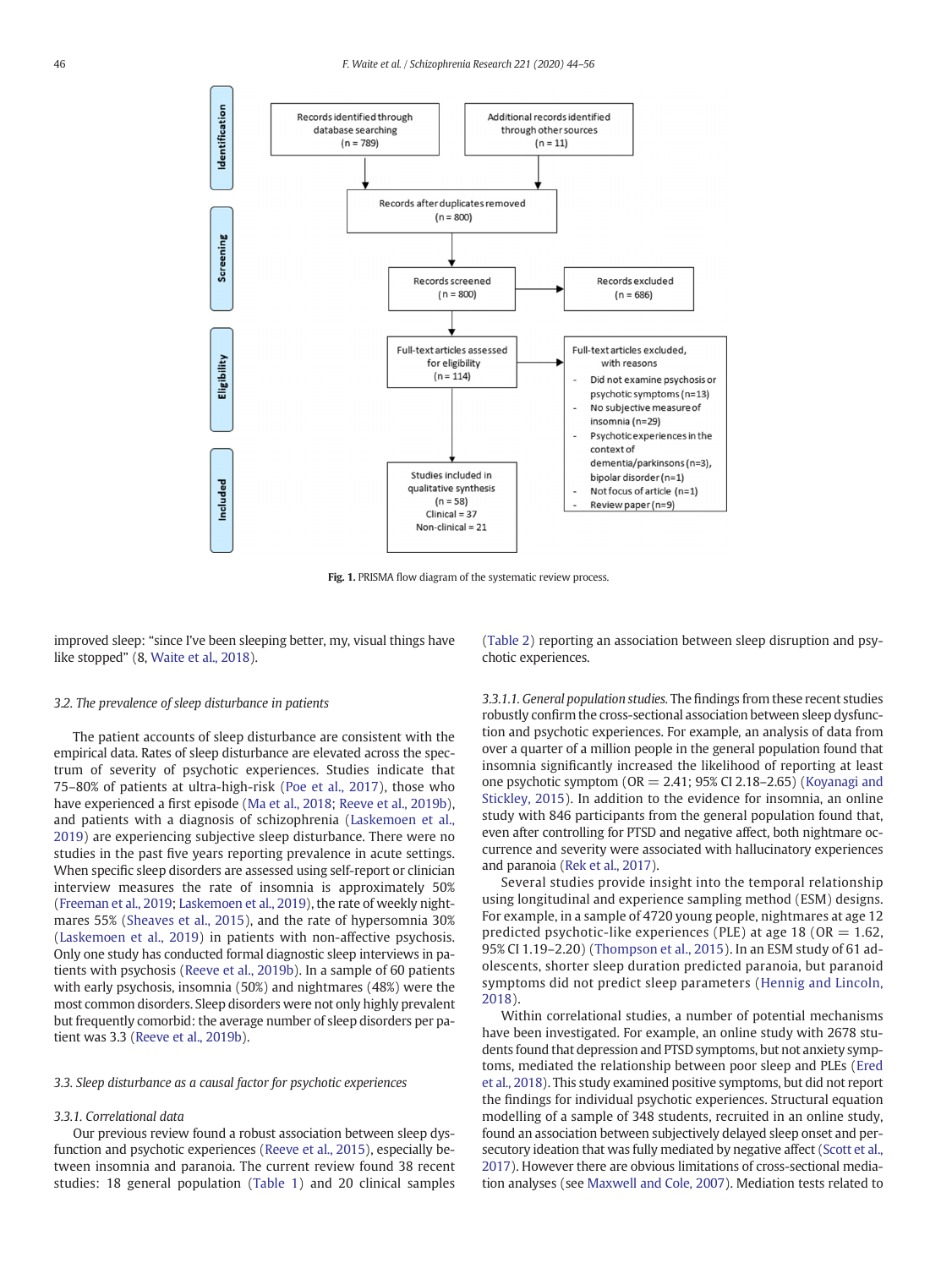<span id="page-2-0"></span>

Fig. 1. PRISMA flow diagram of the systematic review process.

improved sleep: "since I've been sleeping better, my, visual things have like stopped" (8, [Waite et al., 2018](#page-12-0)).

## 3.2. The prevalence of sleep disturbance in patients

The patient accounts of sleep disturbance are consistent with the empirical data. Rates of sleep disturbance are elevated across the spectrum of severity of psychotic experiences. Studies indicate that 75–80% of patients at ultra-high-risk ([Poe et al., 2017](#page-12-0)), those who have experienced a first episode ([Ma et al., 2018;](#page-11-0) [Reeve et al., 2019b](#page-12-0)), and patients with a diagnosis of schizophrenia [\(Laskemoen et al.,](#page-11-0) [2019](#page-11-0)) are experiencing subjective sleep disturbance. There were no studies in the past five years reporting prevalence in acute settings. When specific sleep disorders are assessed using self-report or clinician interview measures the rate of insomnia is approximately 50% [\(Freeman et al., 2019;](#page-11-0) [Laskemoen et al., 2019](#page-11-0)), the rate of weekly nightmares 55% [\(Sheaves et al., 2015](#page-12-0)), and the rate of hypersomnia 30% [\(Laskemoen et al., 2019](#page-11-0)) in patients with non-affective psychosis. Only one study has conducted formal diagnostic sleep interviews in patients with psychosis ([Reeve et al., 2019b\)](#page-12-0). In a sample of 60 patients with early psychosis, insomnia (50%) and nightmares (48%) were the most common disorders. Sleep disorders were not only highly prevalent but frequently comorbid: the average number of sleep disorders per patient was 3.3 ([Reeve et al., 2019b](#page-12-0)).

## 3.3. Sleep disturbance as a causal factor for psychotic experiences

## 3.3.1. Correlational data

Our previous review found a robust association between sleep dysfunction and psychotic experiences ([Reeve et al., 2015](#page-12-0)), especially between insomnia and paranoia. The current review found 38 recent studies: 18 general population ([Table 1\)](#page-3-0) and 20 clinical samples [\(Table 2](#page-5-0)) reporting an association between sleep disruption and psychotic experiences.

3.3.1.1. General population studies. The findings from these recent studies robustly confirm the cross-sectional association between sleep dysfunction and psychotic experiences. For example, an analysis of data from over a quarter of a million people in the general population found that insomnia significantly increased the likelihood of reporting at least one psychotic symptom ( $OR = 2.41$ ; 95% CI 2.18–2.65) [\(Koyanagi and](#page-11-0) [Stickley, 2015\)](#page-11-0). In addition to the evidence for insomnia, an online study with 846 participants from the general population found that, even after controlling for PTSD and negative affect, both nightmare occurrence and severity were associated with hallucinatory experiences and paranoia ([Rek et al., 2017\)](#page-12-0).

Several studies provide insight into the temporal relationship using longitudinal and experience sampling method (ESM) designs. For example, in a sample of 4720 young people, nightmares at age 12 predicted psychotic-like experiences (PLE) at age 18 (OR  $=$  1.62, 95% CI 1.19–2.20) [\(Thompson et al., 2015](#page-12-0)). In an ESM study of 61 adolescents, shorter sleep duration predicted paranoia, but paranoid symptoms did not predict sleep parameters ([Hennig and Lincoln,](#page-11-0) [2018](#page-11-0)).

Within correlational studies, a number of potential mechanisms have been investigated. For example, an online study with 2678 students found that depression and PTSD symptoms, but not anxiety symptoms, mediated the relationship between poor sleep and PLEs ([Ered](#page-11-0) [et al., 2018](#page-11-0)). This study examined positive symptoms, but did not report the findings for individual psychotic experiences. Structural equation modelling of a sample of 348 students, recruited in an online study, found an association between subjectively delayed sleep onset and persecutory ideation that was fully mediated by negative affect [\(Scott et al.,](#page-12-0) [2017\)](#page-12-0). However there are obvious limitations of cross-sectional mediation analyses (see [Maxwell and Cole, 2007](#page-11-0)). Mediation tests related to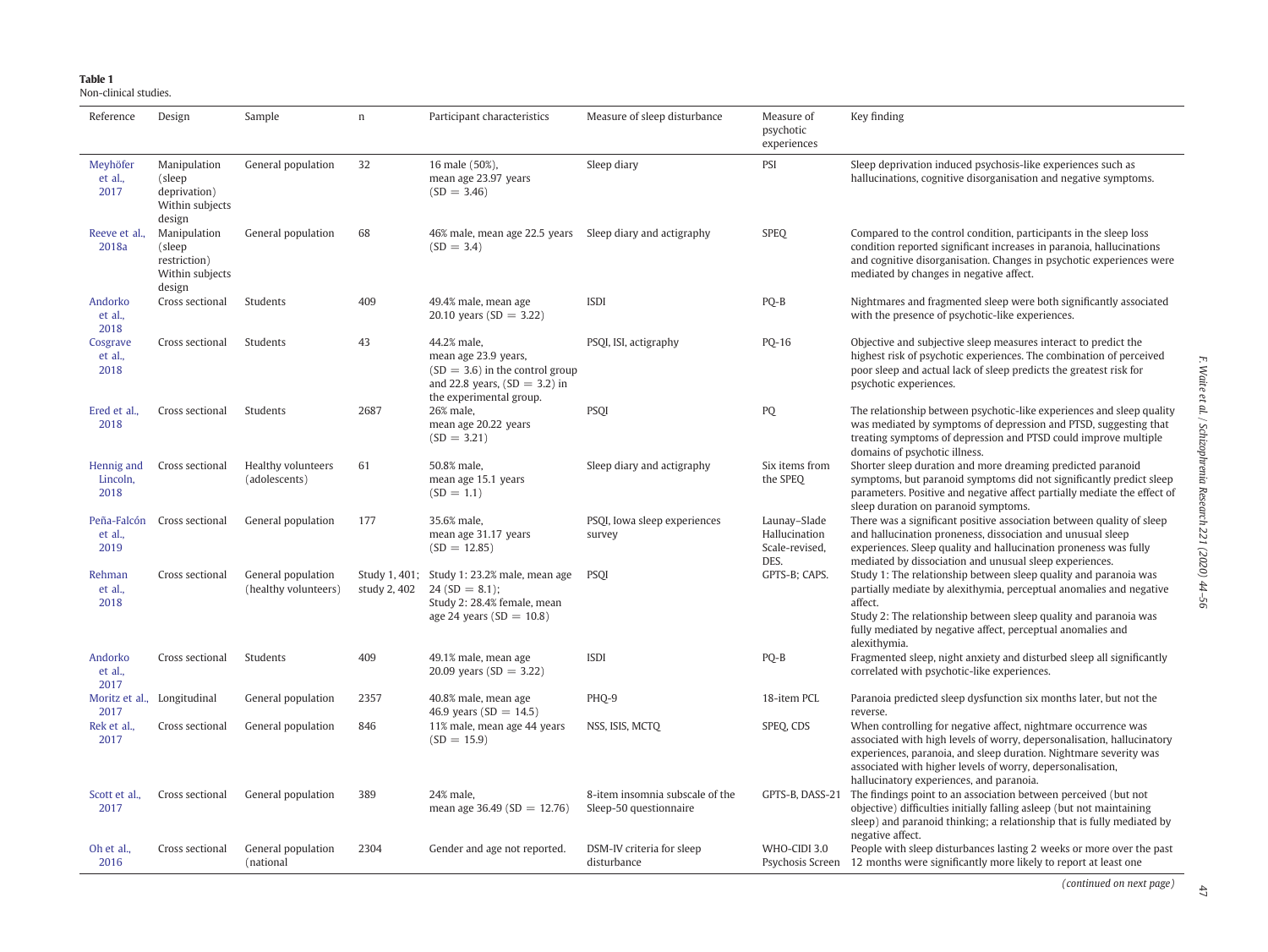## <span id="page-3-0"></span>Table 1

Non-clinical studies.

| Reference                      | Design                                                              | Sample                                     | $\boldsymbol{\Pi}$ | Participant characteristics                                                                                                          | Measure of sleep disturbance                              | Measure of<br>psychotic<br>experiences                  | Key finding                                                                                                                                                                                                                                                                                                             |
|--------------------------------|---------------------------------------------------------------------|--------------------------------------------|--------------------|--------------------------------------------------------------------------------------------------------------------------------------|-----------------------------------------------------------|---------------------------------------------------------|-------------------------------------------------------------------------------------------------------------------------------------------------------------------------------------------------------------------------------------------------------------------------------------------------------------------------|
| Meyhöfer<br>et al.,<br>2017    | Manipulation<br>(sleep<br>deprivation)<br>Within subjects<br>design | General population                         | 32                 | 16 male (50%),<br>mean age 23.97 years<br>$(SD = 3.46)$                                                                              | Sleep diary                                               | PSI                                                     | Sleep deprivation induced psychosis-like experiences such as<br>hallucinations, cognitive disorganisation and negative symptoms.                                                                                                                                                                                        |
| Reeve et al.,<br>2018a         | Manipulation<br>(sleep<br>restriction)<br>Within subjects<br>design | General population                         | 68                 | 46% male, mean age 22.5 years Sleep diary and actigraphy<br>$(SD = 3.4)$                                                             |                                                           | <b>SPEQ</b>                                             | Compared to the control condition, participants in the sleep loss<br>condition reported significant increases in paranoia, hallucinations<br>and cognitive disorganisation. Changes in psychotic experiences were<br>mediated by changes in negative affect.                                                            |
| Andorko<br>et al.,<br>2018     | Cross sectional                                                     | Students                                   | 409                | 49.4% male, mean age<br>20.10 years (SD = 3.22)                                                                                      | <b>ISDI</b>                                               | PQ-B                                                    | Nightmares and fragmented sleep were both significantly associated<br>with the presence of psychotic-like experiences.                                                                                                                                                                                                  |
| Cosgrave<br>et al.,<br>2018    | Cross sectional                                                     | Students                                   | 43                 | 44.2% male,<br>mean age 23.9 years,<br>$(SD = 3.6)$ in the control group<br>and 22.8 years, $SD = 3.2$ in<br>the experimental group. | PSQI, ISI, actigraphy                                     | PQ-16                                                   | Objective and subjective sleep measures interact to predict the<br>highest risk of psychotic experiences. The combination of perceived<br>poor sleep and actual lack of sleep predicts the greatest risk for<br>psychotic experiences.                                                                                  |
| Ered et al.,<br>2018           | Cross sectional                                                     | Students                                   | 2687               | 26% male,<br>mean age 20.22 years<br>$(SD = 3.21)$                                                                                   | <b>PSQI</b>                                               | PQ                                                      | The relationship between psychotic-like experiences and sleep quality<br>was mediated by symptoms of depression and PTSD, suggesting that<br>treating symptoms of depression and PTSD could improve multiple<br>domains of psychotic illness.                                                                           |
| Hennig and<br>Lincoln,<br>2018 | Cross sectional                                                     | Healthy volunteers<br>(adolescents)        | 61                 | 50.8% male,<br>mean age 15.1 years<br>$SD = 1.1$                                                                                     | Sleep diary and actigraphy                                | Six items from<br>the SPEQ                              | Shorter sleep duration and more dreaming predicted paranoid<br>symptoms, but paranoid symptoms did not significantly predict sleep<br>parameters. Positive and negative affect partially mediate the effect of<br>sleep duration on paranoid symptoms.                                                                  |
| Peña-Falcón<br>et al.,<br>2019 | Cross sectional                                                     | General population                         | 177                | 35.6% male,<br>mean age 31.17 years<br>$SD = 12.85$                                                                                  | PSQI, Iowa sleep experiences<br>survey                    | Launay-Slade<br>Hallucination<br>Scale-revised,<br>DES. | There was a significant positive association between quality of sleep<br>and hallucination proneness, dissociation and unusual sleep<br>experiences. Sleep quality and hallucination proneness was fully<br>mediated by dissociation and unusual sleep experiences.                                                     |
| Rehman<br>et al.,<br>2018      | Cross sectional                                                     | General population<br>(healthy volunteers) | study 2, 402       | Study 1, 401; Study 1: 23.2% male, mean age<br>$24(SD = 8.1)$ ;<br>Study 2: 28.4% female, mean<br>age 24 years ( $SD = 10.8$ )       | <b>PSOI</b>                                               | GPTS-B; CAPS.                                           | Study 1: The relationship between sleep quality and paranoia was<br>partially mediate by alexithymia, perceptual anomalies and negative<br>affect.<br>Study 2: The relationship between sleep quality and paranoia was<br>fully mediated by negative affect, perceptual anomalies and<br>alexithymia.                   |
| Andorko<br>et al.,<br>2017     | Cross sectional                                                     | Students                                   | 409                | 49.1% male, mean age<br>20.09 years (SD = 3.22)                                                                                      | <b>ISDI</b>                                               | PQ-B                                                    | Fragmented sleep, night anxiety and disturbed sleep all significantly<br>correlated with psychotic-like experiences.                                                                                                                                                                                                    |
| 2017                           | Moritz et al., Longitudinal                                         | General population                         | 2357               | 40.8% male, mean age<br>46.9 years (SD = $14.5$ )                                                                                    | PHO-9                                                     | 18-item PCL                                             | Paranoia predicted sleep dysfunction six months later, but not the<br>reverse.                                                                                                                                                                                                                                          |
| Rek et al.,<br>2017            | Cross sectional                                                     | General population                         | 846                | 11% male, mean age 44 years<br>$(SD = 15.9)$                                                                                         | NSS, ISIS, MCTQ                                           | SPEQ, CDS                                               | When controlling for negative affect, nightmare occurrence was<br>associated with high levels of worry, depersonalisation, hallucinatory<br>experiences, paranoia, and sleep duration. Nightmare severity was<br>associated with higher levels of worry, depersonalisation,<br>hallucinatory experiences, and paranoia. |
| Scott et al.,<br>2017          | Cross sectional                                                     | General population                         | 389                | 24% male.<br>mean age 36.49 ( $SD = 12.76$ )                                                                                         | 8-item insomnia subscale of the<br>Sleep-50 questionnaire | GPTS-B, DASS-21                                         | The findings point to an association between perceived (but not<br>objective) difficulties initially falling asleep (but not maintaining<br>sleep) and paranoid thinking; a relationship that is fully mediated by<br>negative affect.                                                                                  |
| Oh et al.,<br>2016             | Cross sectional                                                     | General population<br>(national            | 2304               | Gender and age not reported.                                                                                                         | DSM-IV criteria for sleep<br>disturbance                  | WHO-CIDI 3.0                                            | People with sleep disturbances lasting 2 weeks or more over the past<br>Psychosis Screen 12 months were significantly more likely to report at least one                                                                                                                                                                |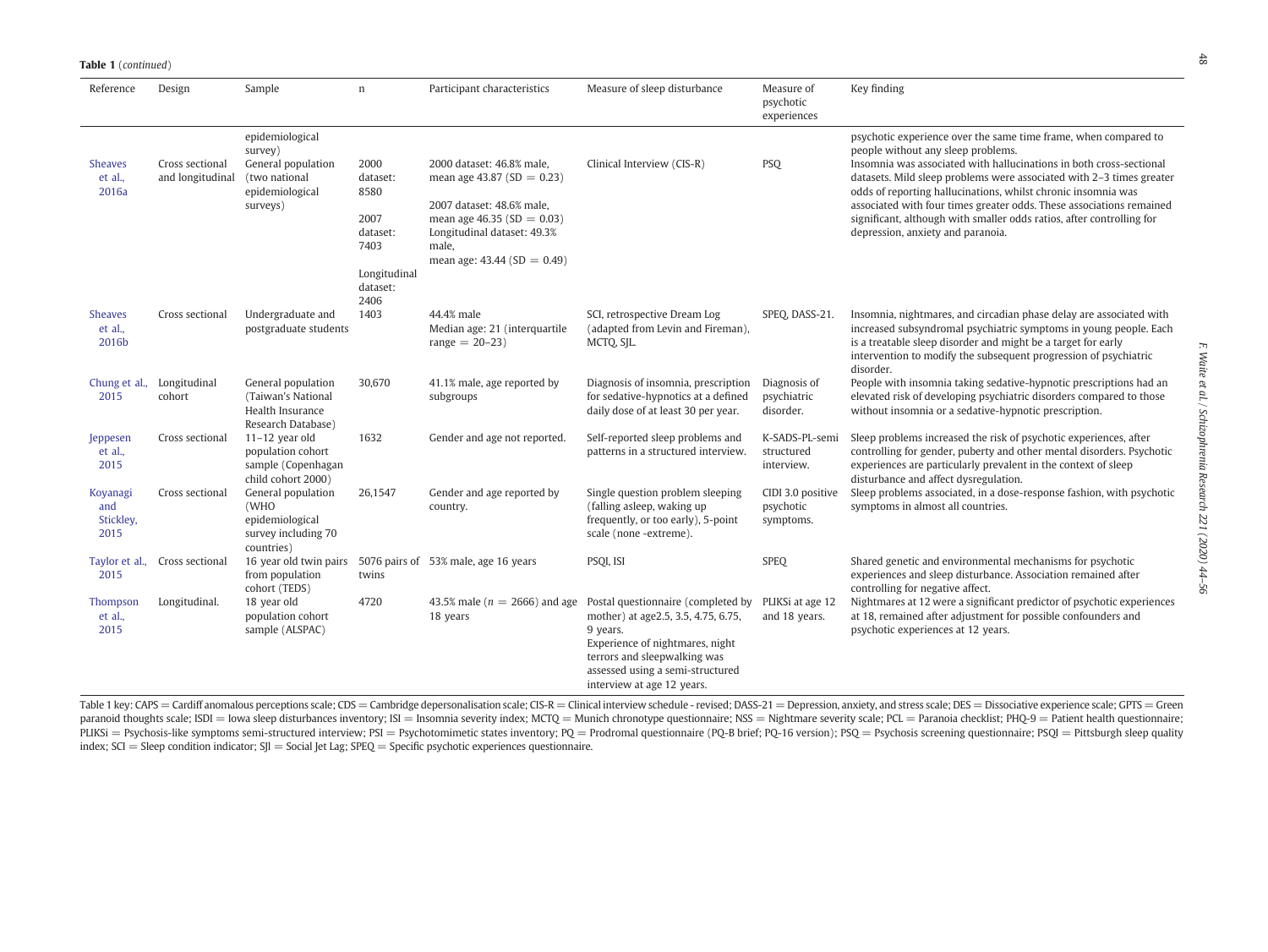#### **Table 1** (continued)

| Reference                            | Design                              | Sample                                                                             | n                                | Participant characteristics                                           | Measure of sleep disturbance                                                                                                                                                                                                                                 | Measure of<br>psychotic<br>experiences      | Key finding                                                                                                                                                                                                                                                                                |
|--------------------------------------|-------------------------------------|------------------------------------------------------------------------------------|----------------------------------|-----------------------------------------------------------------------|--------------------------------------------------------------------------------------------------------------------------------------------------------------------------------------------------------------------------------------------------------------|---------------------------------------------|--------------------------------------------------------------------------------------------------------------------------------------------------------------------------------------------------------------------------------------------------------------------------------------------|
| <b>Sheaves</b><br>et al.,            | Cross sectional<br>and longitudinal | epidemiological<br>survey)<br>General population<br>(two national                  | 2000<br>dataset:                 | 2000 dataset: 46.8% male,<br>mean age 43.87 ( $SD = 0.23$ )           | Clinical Interview (CIS-R)                                                                                                                                                                                                                                   | <b>PSQ</b>                                  | psychotic experience over the same time frame, when compared to<br>people without any sleep problems.<br>Insomnia was associated with hallucinations in both cross-sectional<br>datasets. Mild sleep problems were associated with 2-3 times greater                                       |
| 2016a                                |                                     | epidemiological<br>surveys)                                                        | 8580<br>2007                     | 2007 dataset: 48.6% male,<br>mean age 46.35 ( $SD = 0.03$ )           |                                                                                                                                                                                                                                                              |                                             | odds of reporting hallucinations, whilst chronic insomnia was<br>associated with four times greater odds. These associations remained<br>significant, although with smaller odds ratios, after controlling for                                                                             |
|                                      |                                     |                                                                                    | dataset:<br>7403                 | Longitudinal dataset: 49.3%<br>male,<br>mean age: $43.44$ (SD = 0.49) |                                                                                                                                                                                                                                                              |                                             | depression, anxiety and paranoia.                                                                                                                                                                                                                                                          |
|                                      |                                     |                                                                                    | Longitudinal<br>dataset:<br>2406 |                                                                       |                                                                                                                                                                                                                                                              |                                             |                                                                                                                                                                                                                                                                                            |
| <b>Sheaves</b><br>et al.,<br>2016b   | Cross sectional                     | Undergraduate and<br>postgraduate students                                         | 1403                             | 44.4% male<br>Median age: 21 (interquartile<br>$range = 20 - 23$      | SCI, retrospective Dream Log<br>(adapted from Levin and Fireman),<br>MCTQ, SJL.                                                                                                                                                                              | SPEQ, DASS-21.                              | Insomnia, nightmares, and circadian phase delay are associated with<br>increased subsyndromal psychiatric symptoms in young people. Each<br>is a treatable sleep disorder and might be a target for early<br>intervention to modify the subsequent progression of psychiatric<br>disorder. |
| Chung et al.,<br>2015                | Longitudinal<br>cohort              | General population<br>(Taiwan's National<br>Health Insurance<br>Research Database) | 30,670                           | 41.1% male, age reported by<br>subgroups                              | Diagnosis of insomnia, prescription<br>for sedative-hypnotics at a defined<br>daily dose of at least 30 per year.                                                                                                                                            | Diagnosis of<br>psychiatric<br>disorder.    | People with insomnia taking sedative-hypnotic prescriptions had an<br>elevated risk of developing psychiatric disorders compared to those<br>without insomnia or a sedative-hypnotic prescription.                                                                                         |
| Jeppesen<br>et al.,<br>2015          | Cross sectional                     | $11-12$ year old<br>population cohort<br>sample (Copenhagan<br>child cohort 2000)  | 1632                             | Gender and age not reported.                                          | Self-reported sleep problems and<br>patterns in a structured interview.                                                                                                                                                                                      | K-SADS-PL-semi<br>structured<br>interview.  | Sleep problems increased the risk of psychotic experiences, after<br>controlling for gender, puberty and other mental disorders. Psychotic<br>experiences are particularly prevalent in the context of sleep<br>disturbance and affect dysregulation.                                      |
| Koyanagi<br>and<br>Stickley,<br>2015 | Cross sectional                     | General population<br>(WHO<br>epidemiological<br>survey including 70<br>countries) | 26,1547                          | Gender and age reported by<br>country.                                | Single question problem sleeping<br>(falling asleep, waking up<br>frequently, or too early), 5-point<br>scale (none -extreme).                                                                                                                               | CIDI 3.0 positive<br>psychotic<br>symptoms. | Sleep problems associated, in a dose-response fashion, with psychotic<br>symptoms in almost all countries.                                                                                                                                                                                 |
| Taylor et al.,<br>2015               | Cross sectional                     | 16 year old twin pairs<br>from population<br>cohort (TEDS)                         | twins                            | 5076 pairs of 53% male, age 16 years                                  | PSQI, ISI                                                                                                                                                                                                                                                    | <b>SPEQ</b>                                 | Shared genetic and environmental mechanisms for psychotic<br>experiences and sleep disturbance. Association remained after<br>controlling for negative affect.                                                                                                                             |
| Thompson<br>et al.,<br>2015          | Longitudinal.                       | 18 year old<br>population cohort<br>sample (ALSPAC)                                | 4720                             | 18 years                                                              | 43.5% male ( $n = 2666$ ) and age Postal questionnaire (completed by<br>mother) at age2.5, 3.5, 4.75, 6.75,<br>9 years.<br>Experience of nightmares, night<br>terrors and sleepwalking was<br>assessed using a semi-structured<br>interview at age 12 years. | PLIKSi at age 12<br>and 18 years.           | Nightmares at 12 were a significant predictor of psychotic experiences<br>at 18, remained after adjustment for possible confounders and<br>psychotic experiences at 12 years.                                                                                                              |

Table 1 key: CAPS = Cardiff anomalous perceptions scale; CDS = Cambridge depersonalisation scale; CIS-R = Clinical interview schedule - revised; DASS-21 = Depression, anxiety, and stress scale; DES = Dissociative experienc paranoid thoughts scale; ISDI = Iowa sleep disturbances inventory; ISI = Insomnia severity index; MCTQ = Munich chronotype questionnaire; NSS = Nightmare severity scale; PCL = Paranoia checklist; PHQ-9 = Patient health que PLIKSi = Psychosis-like symptoms semi-structured interview; PSI = Psychotomimetic states inventory; PQ = Prodromal questionnaire (PQ-B brief; PQ-16 version); PSQ = Psychosis screening questionnaire; PSQI = Pittsburgh sleep index;  $SCI = Sleep condition indicator$ ;  $SII = Social Jet Lag$ ;  $SPEQ = Specific psychotic experiences questionnaire$ .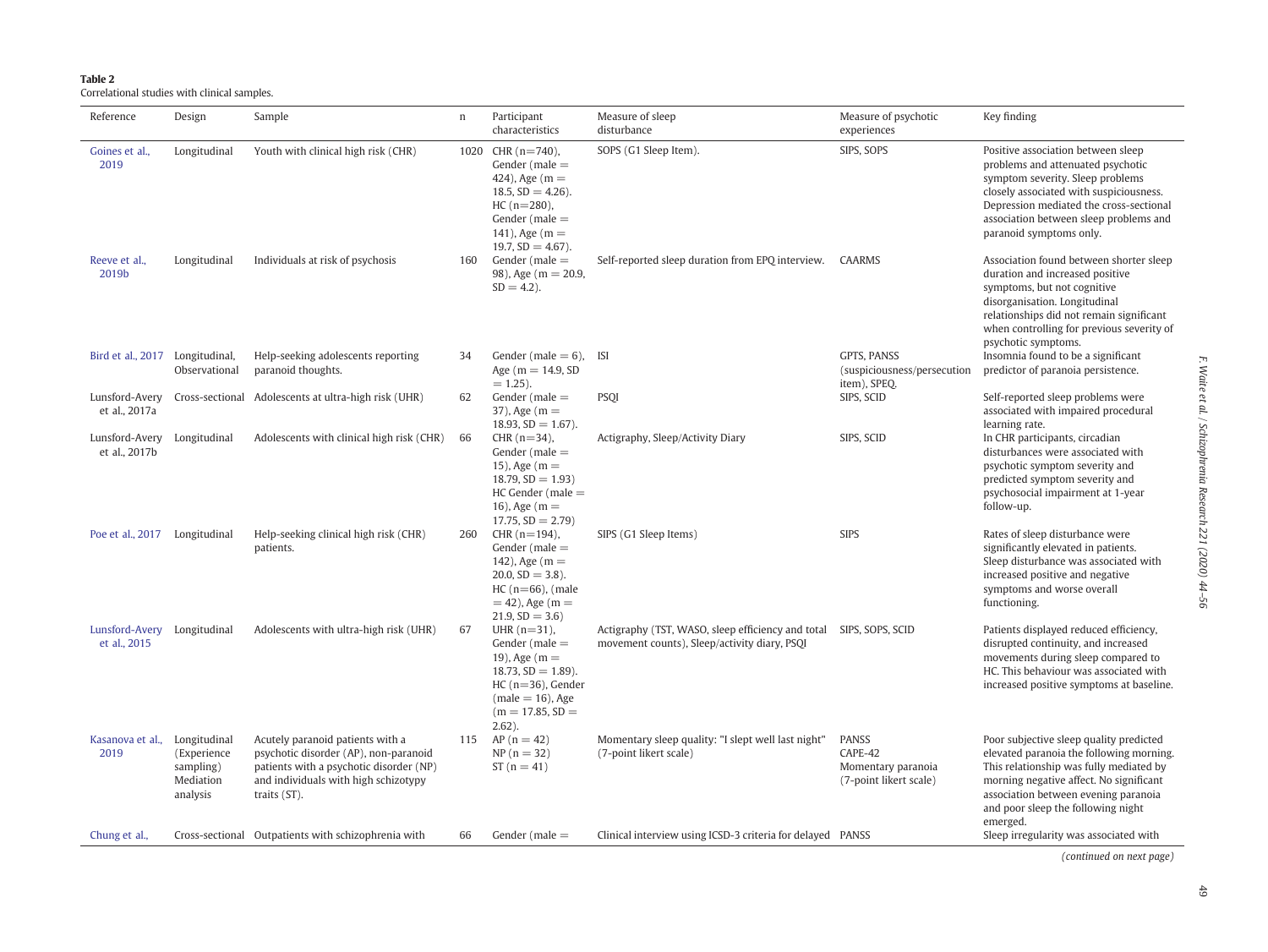<span id="page-5-0"></span>

| . .<br>. .<br>$\sim$ |  |  |  |
|----------------------|--|--|--|
|----------------------|--|--|--|

Correlational studies with clinical samples.

| Reference                                    | Design                                                            | Sample                                                                                                                                                                       | $\mathbf n$ | Participant<br>characteristics                                                                                                                                      | Measure of sleep<br>disturbance                                                                                    | Measure of psychotic<br>experiences                                     | Key finding                                                                                                                                                                                                                                                            |
|----------------------------------------------|-------------------------------------------------------------------|------------------------------------------------------------------------------------------------------------------------------------------------------------------------------|-------------|---------------------------------------------------------------------------------------------------------------------------------------------------------------------|--------------------------------------------------------------------------------------------------------------------|-------------------------------------------------------------------------|------------------------------------------------------------------------------------------------------------------------------------------------------------------------------------------------------------------------------------------------------------------------|
| Goines et al.,<br>2019                       | Longitudinal                                                      | Youth with clinical high risk (CHR)                                                                                                                                          | 1020        | CHR $(n=740)$ ,<br>Gender ( $male =$<br>424), Age $(m =$<br>$18.5, SD = 4.26$ ).<br>$HC (n=280)$ ,<br>Gender ( $male =$<br>141), Age $(m =$<br>19.7, $SD = 4.67$ ). | SOPS (G1 Sleep Item).                                                                                              | SIPS, SOPS                                                              | Positive association between sleep<br>problems and attenuated psychotic<br>symptom severity. Sleep problems<br>closely associated with suspiciousness.<br>Depression mediated the cross-sectional<br>association between sleep problems and<br>paranoid symptoms only. |
| Reeve et al.,<br>2019b                       | Longitudinal                                                      | Individuals at risk of psychosis                                                                                                                                             | 160         | Gender ( $male =$<br>98), Age ( $m = 20.9$ ,<br>$SD = 4.2$ ).                                                                                                       | Self-reported sleep duration from EPQ interview. CAARMS                                                            |                                                                         | Association found between shorter sleep<br>duration and increased positive<br>symptoms, but not cognitive<br>disorganisation. Longitudinal<br>relationships did not remain significant<br>when controlling for previous severity of<br>psychotic symptoms.             |
| Bird et al., 2017 Longitudinal,              | Observational                                                     | Help-seeking adolescents reporting<br>paranoid thoughts.                                                                                                                     | 34          | Gender (male $= 6$ ),<br>Age ( $m = 14.9$ , SD<br>$= 1.25$ ).                                                                                                       | <b>ISI</b>                                                                                                         | <b>GPTS. PANSS</b><br>(suspiciousness/persecution<br>item), SPEQ.       | Insomnia found to be a significant<br>predictor of paranoia persistence.                                                                                                                                                                                               |
| et al., 2017a                                |                                                                   | Lunsford-Avery Cross-sectional Adolescents at ultra-high risk (UHR)                                                                                                          | 62          | Gender ( $male =$<br>$37$ ), Age (m =<br>$18.93, SD = 1.67$ ).                                                                                                      | <b>PSQI</b>                                                                                                        | SIPS, SCID                                                              | Self-reported sleep problems were<br>associated with impaired procedural<br>learning rate.                                                                                                                                                                             |
| Lunsford-Avery Longitudinal<br>et al., 2017b |                                                                   | Adolescents with clinical high risk (CHR)                                                                                                                                    | 66          | $CHR (n=34)$ ,<br>Gender ( $male =$<br>15), Age $(m =$<br>$18.79$ , $SD = 1.93$<br>$HC$ Gender (male $=$<br>16), Age $(m =$<br>$17.75$ , $SD = 2.79$ )              | Actigraphy, Sleep/Activity Diary                                                                                   | SIPS, SCID                                                              | In CHR participants, circadian<br>disturbances were associated with<br>psychotic symptom severity and<br>predicted symptom severity and<br>psychosocial impairment at 1-year<br>follow-up.                                                                             |
| Poe et al., 2017 Longitudinal                |                                                                   | Help-seeking clinical high risk (CHR)<br>patients.                                                                                                                           | 260         | CHR $(n=194)$ ,<br>Gender ( $male =$<br>142), Age $(m =$<br>$20.0, SD = 3.8$ ).<br>$HC(n=66)$ , (male<br>$= 42$ ), Age (m $=$<br>$21.9, SD = 3.6$                   | SIPS (G1 Sleep Items)                                                                                              | <b>SIPS</b>                                                             | Rates of sleep disturbance were<br>significantly elevated in patients.<br>Sleep disturbance was associated with<br>increased positive and negative<br>symptoms and worse overall<br>functioning.                                                                       |
| Lunsford-Avery Longitudinal<br>et al., 2015  |                                                                   | Adolescents with ultra-high risk (UHR)                                                                                                                                       | 67          | UHR $(n=31)$ ,<br>Gender (male $=$<br>19), Age $(m =$<br>$18.73, SD = 1.89$ ).<br>$HC (n=36)$ , Gender<br>$(male = 16)$ , Age<br>$(m = 17.85, SD =$<br>$2.62$ ).    | Actigraphy (TST, WASO, sleep efficiency and total SIPS, SOPS, SCID<br>movement counts), Sleep/activity diary, PSQI |                                                                         | Patients displayed reduced efficiency,<br>disrupted continuity, and increased<br>movements during sleep compared to<br>HC. This behaviour was associated with<br>increased positive symptoms at baseline.                                                              |
| Kasanova et al.,<br>2019                     | Longitudinal<br>(Experience<br>sampling)<br>Mediation<br>analysis | Acutely paranoid patients with a<br>psychotic disorder (AP), non-paranoid<br>patients with a psychotic disorder (NP)<br>and individuals with high schizotypy<br>traits (ST). | 115         | $AP(n = 42)$<br>$NP(n = 32)$<br>$ST(n = 41)$                                                                                                                        | Momentary sleep quality: "I slept well last night"<br>(7-point likert scale)                                       | <b>PANSS</b><br>CAPE-42<br>Momentary paranoia<br>(7-point likert scale) | Poor subjective sleep quality predicted<br>elevated paranoia the following morning.<br>This relationship was fully mediated by<br>morning negative affect. No significant<br>association between evening paranoia<br>and poor sleep the following night<br>emerged.    |
| Chung et al.,                                |                                                                   | Cross-sectional Outpatients with schizophrenia with                                                                                                                          | 66          | Gender ( $male =$                                                                                                                                                   | Clinical interview using ICSD-3 criteria for delayed PANSS                                                         |                                                                         | Sleep irregularity was associated with<br>(continued on next page)                                                                                                                                                                                                     |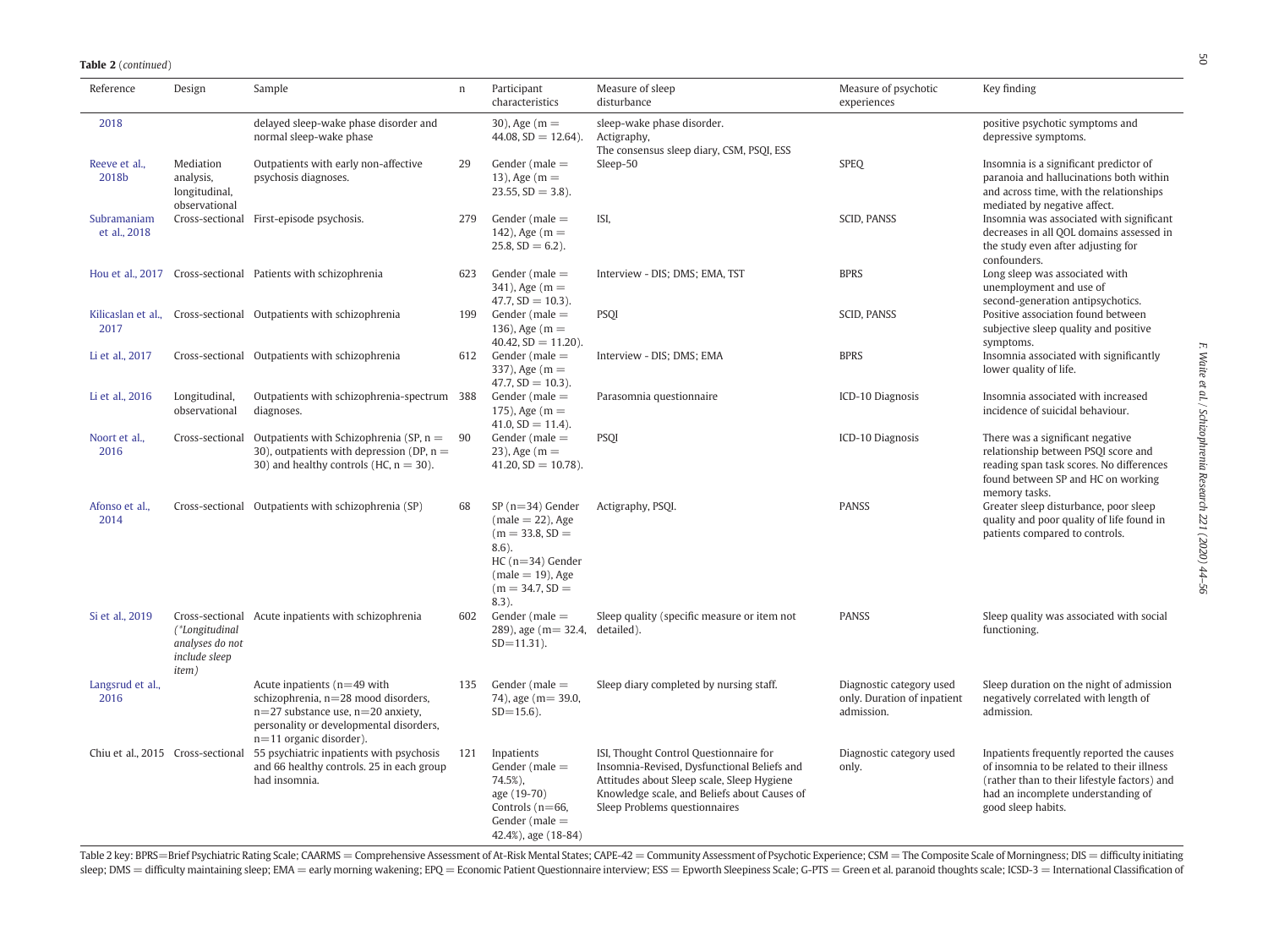**Table 2** (continued)

| Reference                   | Design                                                      | Sample                                                                                                                                                                                | $\boldsymbol{\Pi}$ | Participant<br>characteristics                                                                                                                          | Measure of sleep<br>disturbance                                                                                                                                                                                      | Measure of psychotic<br>experiences                                   | Key finding                                                                                                                                                                                         |
|-----------------------------|-------------------------------------------------------------|---------------------------------------------------------------------------------------------------------------------------------------------------------------------------------------|--------------------|---------------------------------------------------------------------------------------------------------------------------------------------------------|----------------------------------------------------------------------------------------------------------------------------------------------------------------------------------------------------------------------|-----------------------------------------------------------------------|-----------------------------------------------------------------------------------------------------------------------------------------------------------------------------------------------------|
| 2018                        |                                                             | delayed sleep-wake phase disorder and<br>normal sleep-wake phase                                                                                                                      |                    | 30), Age $(m =$<br>$44.08$ , SD = 12.64).                                                                                                               | sleep-wake phase disorder.<br>Actigraphy,<br>The consensus sleep diary, CSM, PSQI, ESS                                                                                                                               |                                                                       | positive psychotic symptoms and<br>depressive symptoms.                                                                                                                                             |
| Reeve et al.,<br>2018b      | Mediation<br>analysis,<br>longitudinal,<br>observational    | Outpatients with early non-affective<br>psychosis diagnoses.                                                                                                                          | 29                 | Gender ( $male =$<br>13), Age $(m =$<br>$23.55$ , $SD = 3.8$ ).                                                                                         | Sleep-50                                                                                                                                                                                                             | <b>SPEQ</b>                                                           | Insomnia is a significant predictor of<br>paranoia and hallucinations both within<br>and across time, with the relationships<br>mediated by negative affect.                                        |
| Subramaniam<br>et al., 2018 |                                                             | Cross-sectional First-episode psychosis.                                                                                                                                              | 279                | Gender ( $male =$<br>142), Age $(m =$<br>$25.8, SD = 6.2$ ).                                                                                            | ISI,                                                                                                                                                                                                                 | SCID, PANSS                                                           | Insomnia was associated with significant<br>decreases in all OOL domains assessed in<br>the study even after adjusting for<br>confounders.                                                          |
|                             |                                                             | Hou et al., 2017 Cross-sectional Patients with schizophrenia                                                                                                                          | 623                | Gender ( $male =$<br>$341$ ), Age (m =<br>$47.7, SD = 10.3$ ).                                                                                          | Interview - DIS; DMS; EMA, TST                                                                                                                                                                                       | <b>BPRS</b>                                                           | Long sleep was associated with<br>unemployment and use of<br>second-generation antipsychotics.                                                                                                      |
| 2017                        |                                                             | Kilicaslan et al., Cross-sectional Outpatients with schizophrenia                                                                                                                     | 199                | Gender (male $=$<br>136), Age $(m =$<br>$40.42$ , $SD = 11.20$ ).                                                                                       | <b>PSQI</b>                                                                                                                                                                                                          | <b>SCID, PANSS</b>                                                    | Positive association found between<br>subjective sleep quality and positive<br>symptoms.                                                                                                            |
| Li et al., 2017             |                                                             | Cross-sectional Outpatients with schizophrenia                                                                                                                                        | 612                | Gender ( $male =$<br>$337$ ), Age (m =<br>$47.7, SD = 10.3$ ).                                                                                          | Interview - DIS; DMS; EMA                                                                                                                                                                                            | <b>BPRS</b>                                                           | Insomnia associated with significantly<br>lower quality of life.                                                                                                                                    |
| Li et al., 2016             | Longitudinal,<br>observational                              | Outpatients with schizophrenia-spectrum 388<br>diagnoses.                                                                                                                             |                    | Gender (male $=$<br>175), Age $(m =$<br>$41.0, SD = 11.4$ .                                                                                             | Parasomnia questionnaire                                                                                                                                                                                             | ICD-10 Diagnosis                                                      | Insomnia associated with increased<br>incidence of suicidal behaviour.                                                                                                                              |
| Noort et al.,<br>2016       | Cross-sectional                                             | Outpatients with Schizophrenia (SP, $n =$<br>30), outpatients with depression (DP, $n =$<br>30) and healthy controls (HC, $n = 30$ ).                                                 | 90                 | Gender ( $male =$<br>23), Age $(m =$<br>$41.20$ , $SD = 10.78$ ).                                                                                       | <b>PSQI</b>                                                                                                                                                                                                          | ICD-10 Diagnosis                                                      | There was a significant negative<br>relationship between PSQI score and<br>reading span task scores. No differences<br>found between SP and HC on working<br>memory tasks.                          |
| Afonso et al.,<br>2014      |                                                             | Cross-sectional Outpatients with schizophrenia (SP)                                                                                                                                   | 68                 | $SP(n=34)$ Gender<br>$(male = 22)$ , Age<br>$(m = 33.8, SD =$<br>$8.6$ ).<br>$HC (n=34)$ Gender<br>$(male = 19)$ , Age<br>$(m = 34.7, SD =$<br>$8.3$ ). | Actigraphy, PSQI.                                                                                                                                                                                                    | <b>PANSS</b>                                                          | Greater sleep disturbance, poor sleep<br>quality and poor quality of life found in<br>patients compared to controls.                                                                                |
| Si et al., 2019             | (*Longitudinal<br>analyses do not<br>include sleep<br>item) | Cross-sectional Acute inpatients with schizophrenia                                                                                                                                   | 602                | Gender (male $=$<br>$289$ ), age (m = 32.4, detailed).<br>$SD = 11.31$ .                                                                                | Sleep quality (specific measure or item not                                                                                                                                                                          | <b>PANSS</b>                                                          | Sleep quality was associated with social<br>functioning.                                                                                                                                            |
| Langsrud et al.,<br>2016    |                                                             | Acute inpatients $(n=49$ with<br>schizophrenia, n=28 mood disorders,<br>$n=27$ substance use, $n=20$ anxiety,<br>personality or developmental disorders,<br>$n=11$ organic disorder). | 135                | Gender ( $male =$<br>74), age (m= 39.0,<br>$SD = 15.6$ ).                                                                                               | Sleep diary completed by nursing staff.                                                                                                                                                                              | Diagnostic category used<br>only. Duration of inpatient<br>admission. | Sleep duration on the night of admission<br>negatively correlated with length of<br>admission.                                                                                                      |
|                             | Chiu et al., 2015 Cross-sectional                           | 55 psychiatric inpatients with psychosis<br>and 66 healthy controls. 25 in each group<br>had insomnia.                                                                                | 121                | Inpatients<br>Gender ( $male =$<br>74.5%),<br>age (19-70)<br>Controls $(n=66,$<br>Gender ( $male =$<br>$42.4\%$ ), age $(18-84)$                        | ISI, Thought Control Questionnaire for<br>Insomnia-Revised, Dysfunctional Beliefs and<br>Attitudes about Sleep scale, Sleep Hygiene<br>Knowledge scale, and Beliefs about Causes of<br>Sleep Problems questionnaires | Diagnostic category used<br>only.                                     | Inpatients frequently reported the causes<br>of insomnia to be related to their illness<br>(rather than to their lifestyle factors) and<br>had an incomplete understanding of<br>good sleep habits. |

Table 2 key: BPRS=Brief Psychiatric Rating Scale; CAARMS = Comprehensive Assessment of At-Risk Mental States; CAPE-42 = Community Assessment of Psychotic Experience; CSM = The Composite Scale of Morningness; DIS = difficul sleep; DMS = difficulty maintaining sleep; EMA = early morning wakening; EPQ = Economic Patient Questionnaire interview; ESS = Epworth Sleepiness Scale; G-PTS = Green et al. paranoid thoughts scale; ICSD-3 = International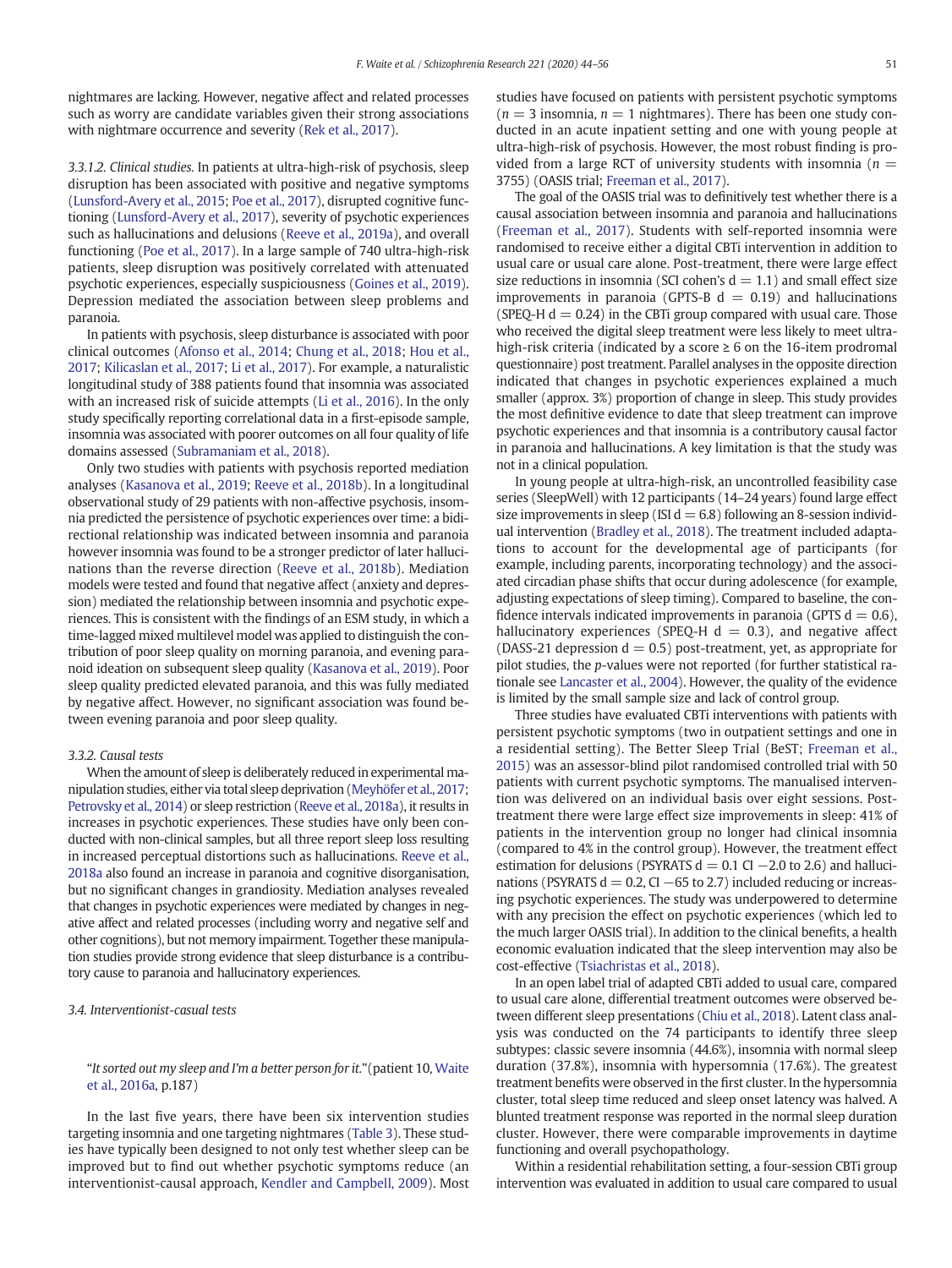nightmares are lacking. However, negative affect and related processes such as worry are candidate variables given their strong associations with nightmare occurrence and severity [\(Rek et al., 2017](#page-12-0)).

3.3.1.2. Clinical studies. In patients at ultra-high-risk of psychosis, sleep disruption has been associated with positive and negative symptoms [\(Lunsford-Avery et al., 2015;](#page-11-0) [Poe et al., 2017\)](#page-12-0), disrupted cognitive functioning [\(Lunsford-Avery et al., 2017](#page-11-0)), severity of psychotic experiences such as hallucinations and delusions [\(Reeve et al., 2019a\)](#page-12-0), and overall functioning ([Poe et al., 2017](#page-12-0)). In a large sample of 740 ultra-high-risk patients, sleep disruption was positively correlated with attenuated psychotic experiences, especially suspiciousness [\(Goines et al., 2019](#page-11-0)). Depression mediated the association between sleep problems and paranoia.

In patients with psychosis, sleep disturbance is associated with poor clinical outcomes [\(Afonso et al., 2014](#page-11-0); [Chung et al., 2018](#page-11-0); [Hou et al.,](#page-11-0) [2017](#page-11-0); [Kilicaslan et al., 2017](#page-11-0); [Li et al., 2017](#page-11-0)). For example, a naturalistic longitudinal study of 388 patients found that insomnia was associated with an increased risk of suicide attempts [\(Li et al., 2016\)](#page-11-0). In the only study specifically reporting correlational data in a first-episode sample, insomnia was associated with poorer outcomes on all four quality of life domains assessed ([Subramaniam et al., 2018](#page-12-0)).

Only two studies with patients with psychosis reported mediation analyses ([Kasanova et al., 2019](#page-11-0); [Reeve et al., 2018b\)](#page-12-0). In a longitudinal observational study of 29 patients with non-affective psychosis, insomnia predicted the persistence of psychotic experiences over time: a bidirectional relationship was indicated between insomnia and paranoia however insomnia was found to be a stronger predictor of later hallucinations than the reverse direction ([Reeve et al., 2018b\)](#page-12-0). Mediation models were tested and found that negative affect (anxiety and depression) mediated the relationship between insomnia and psychotic experiences. This is consistent with the findings of an ESM study, in which a time-lagged mixed multilevel model was applied to distinguish the contribution of poor sleep quality on morning paranoia, and evening paranoid ideation on subsequent sleep quality ([Kasanova et al., 2019](#page-11-0)). Poor sleep quality predicted elevated paranoia, and this was fully mediated by negative affect. However, no significant association was found between evening paranoia and poor sleep quality.

### 3.3.2. Causal tests

When the amount of sleep is deliberately reduced in experimental manipulation studies, either via total sleep deprivation [\(Meyhöfer et al., 2017;](#page-11-0) [Petrovsky et al., 2014](#page-12-0)) or sleep restriction [\(Reeve et al., 2018a](#page-12-0)), it results in increases in psychotic experiences. These studies have only been conducted with non-clinical samples, but all three report sleep loss resulting in increased perceptual distortions such as hallucinations. [Reeve et al.,](#page-12-0) [2018a](#page-12-0) also found an increase in paranoia and cognitive disorganisation, but no significant changes in grandiosity. Mediation analyses revealed that changes in psychotic experiences were mediated by changes in negative affect and related processes (including worry and negative self and other cognitions), but not memory impairment. Together these manipulation studies provide strong evidence that sleep disturbance is a contributory cause to paranoia and hallucinatory experiences.

3.4. Interventionist-casual tests

## "It sorted out my sleep and I'm a better person for it."(patient 10, [Waite](#page-12-0) [et al., 2016a](#page-12-0), p.187)

In the last five years, there have been six intervention studies targeting insomnia and one targeting nightmares [\(Table 3\)](#page-8-0). These studies have typically been designed to not only test whether sleep can be improved but to find out whether psychotic symptoms reduce (an interventionist-causal approach, [Kendler and Campbell, 2009\)](#page-11-0). Most studies have focused on patients with persistent psychotic symptoms  $(n = 3$  insomnia,  $n = 1$  nightmares). There has been one study conducted in an acute inpatient setting and one with young people at ultra-high-risk of psychosis. However, the most robust finding is provided from a large RCT of university students with insomnia ( $n =$ 3755) (OASIS trial; [Freeman et al., 2017](#page-11-0)).

The goal of the OASIS trial was to definitively test whether there is a causal association between insomnia and paranoia and hallucinations [\(Freeman et al., 2017](#page-11-0)). Students with self-reported insomnia were randomised to receive either a digital CBTi intervention in addition to usual care or usual care alone. Post-treatment, there were large effect size reductions in insomnia (SCI cohen's  $d = 1.1$ ) and small effect size improvements in paranoia (GPTS-B  $d = 0.19$ ) and hallucinations (SPEQ-H  $d = 0.24$ ) in the CBTi group compared with usual care. Those who received the digital sleep treatment were less likely to meet ultrahigh-risk criteria (indicated by a score  $\geq 6$  on the 16-item prodromal questionnaire) post treatment. Parallel analyses in the opposite direction indicated that changes in psychotic experiences explained a much smaller (approx. 3%) proportion of change in sleep. This study provides the most definitive evidence to date that sleep treatment can improve psychotic experiences and that insomnia is a contributory causal factor in paranoia and hallucinations. A key limitation is that the study was not in a clinical population.

In young people at ultra-high-risk, an uncontrolled feasibility case series (SleepWell) with 12 participants (14–24 years) found large effect size improvements in sleep (ISI  $d = 6.8$ ) following an 8-session individual intervention [\(Bradley et al., 2018](#page-11-0)). The treatment included adaptations to account for the developmental age of participants (for example, including parents, incorporating technology) and the associated circadian phase shifts that occur during adolescence (for example, adjusting expectations of sleep timing). Compared to baseline, the confidence intervals indicated improvements in paranoia (GPTS  $d = 0.6$ ), hallucinatory experiences (SPEQ-H  $d = 0.3$ ), and negative affect (DASS-21 depression  $d = 0.5$ ) post-treatment, yet, as appropriate for pilot studies, the p-values were not reported (for further statistical rationale see [Lancaster et al., 2004](#page-11-0)). However, the quality of the evidence is limited by the small sample size and lack of control group.

Three studies have evaluated CBTi interventions with patients with persistent psychotic symptoms (two in outpatient settings and one in a residential setting). The Better Sleep Trial (BeST; [Freeman et al.,](#page-11-0) [2015](#page-11-0)) was an assessor-blind pilot randomised controlled trial with 50 patients with current psychotic symptoms. The manualised intervention was delivered on an individual basis over eight sessions. Posttreatment there were large effect size improvements in sleep: 41% of patients in the intervention group no longer had clinical insomnia (compared to 4% in the control group). However, the treatment effect estimation for delusions (PSYRATS  $d = 0.1$  CI  $-2.0$  to 2.6) and hallucinations (PSYRATS  $d = 0.2$ , CI  $-65$  to 2.7) included reducing or increasing psychotic experiences. The study was underpowered to determine with any precision the effect on psychotic experiences (which led to the much larger OASIS trial). In addition to the clinical benefits, a health economic evaluation indicated that the sleep intervention may also be cost-effective [\(Tsiachristas et al., 2018](#page-12-0)).

In an open label trial of adapted CBTi added to usual care, compared to usual care alone, differential treatment outcomes were observed between different sleep presentations [\(Chiu et al., 2018\)](#page-11-0). Latent class analysis was conducted on the 74 participants to identify three sleep subtypes: classic severe insomnia (44.6%), insomnia with normal sleep duration (37.8%), insomnia with hypersomnia (17.6%). The greatest treatment benefits were observed in the first cluster. In the hypersomnia cluster, total sleep time reduced and sleep onset latency was halved. A blunted treatment response was reported in the normal sleep duration cluster. However, there were comparable improvements in daytime functioning and overall psychopathology.

Within a residential rehabilitation setting, a four-session CBTi group intervention was evaluated in addition to usual care compared to usual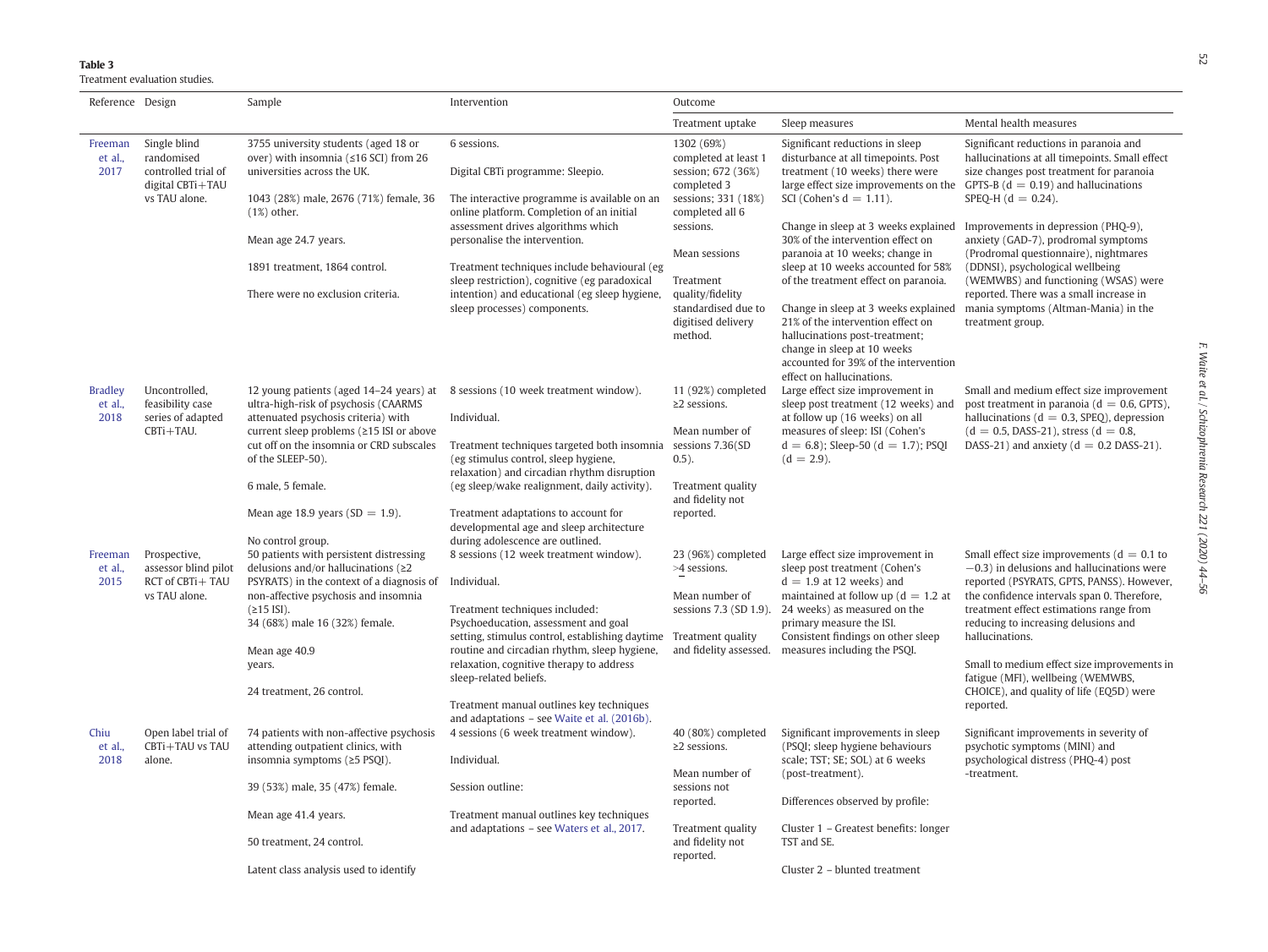## <span id="page-8-0"></span>Table 3

Treatment evaluation studies.

| Reference Design                  |                                                                       | Sample                                                                                                                                                                                                    | Intervention                                                                                                                                                                   | Outcome                                                                  |                                                                                                                                                                                                                  |                                                                                                                                                                                            |
|-----------------------------------|-----------------------------------------------------------------------|-----------------------------------------------------------------------------------------------------------------------------------------------------------------------------------------------------------|--------------------------------------------------------------------------------------------------------------------------------------------------------------------------------|--------------------------------------------------------------------------|------------------------------------------------------------------------------------------------------------------------------------------------------------------------------------------------------------------|--------------------------------------------------------------------------------------------------------------------------------------------------------------------------------------------|
|                                   |                                                                       |                                                                                                                                                                                                           |                                                                                                                                                                                | Treatment uptake                                                         | Sleep measures                                                                                                                                                                                                   | Mental health measures                                                                                                                                                                     |
| Freeman<br>et al.,<br>2017        | Single blind<br>randomised<br>controlled trial of<br>digital CBTi+TAU | 3755 university students (aged 18 or<br>over) with insomnia ( $\leq$ 16 SCI) from 26<br>universities across the UK.                                                                                       | 6 sessions.<br>Digital CBTi programme: Sleepio.                                                                                                                                | 1302 (69%)<br>completed at least 1<br>session; 672 (36%)<br>completed 3  | Significant reductions in sleep<br>disturbance at all timepoints. Post<br>treatment (10 weeks) there were<br>large effect size improvements on the                                                               | Significant reductions in paranoia and<br>hallucinations at all timepoints. Small effect<br>size changes post treatment for paranoia<br>GPTS-B ( $d = 0.19$ ) and hallucinations           |
|                                   | vs TAU alone.                                                         | 1043 (28%) male, 2676 (71%) female, 36<br>$(1%)$ other.                                                                                                                                                   | The interactive programme is available on an<br>online platform. Completion of an initial                                                                                      | sessions; 331 (18%)<br>completed all 6                                   | SCI (Cohen's $d = 1.11$ ).                                                                                                                                                                                       | SPEQ-H $(d = 0.24)$ .                                                                                                                                                                      |
|                                   |                                                                       | Mean age 24.7 years.                                                                                                                                                                                      | assessment drives algorithms which<br>personalise the intervention.                                                                                                            | sessions.<br>Mean sessions                                               | Change in sleep at 3 weeks explained<br>30% of the intervention effect on<br>paranoia at 10 weeks; change in                                                                                                     | Improvements in depression (PHQ-9),<br>anxiety (GAD-7), prodromal symptoms<br>(Prodromal questionnaire), nightmares                                                                        |
|                                   |                                                                       | 1891 treatment, 1864 control.                                                                                                                                                                             | Treatment techniques include behavioural (eg<br>sleep restriction), cognitive (eg paradoxical<br>intention) and educational (eg sleep hygiene,<br>sleep processes) components. | Treatment                                                                | sleep at 10 weeks accounted for 58%<br>of the treatment effect on paranoia.                                                                                                                                      | (DDNSI), psychological wellbeing<br>(WEMWBS) and functioning (WSAS) were<br>reported. There was a small increase in<br>mania symptoms (Altman-Mania) in the<br>treatment group.            |
|                                   |                                                                       | There were no exclusion criteria.                                                                                                                                                                         |                                                                                                                                                                                | quality/fidelity<br>standardised due to<br>digitised delivery<br>method. | Change in sleep at 3 weeks explained<br>21% of the intervention effect on<br>hallucinations post-treatment;<br>change in sleep at 10 weeks<br>accounted for 39% of the intervention<br>effect on hallucinations. |                                                                                                                                                                                            |
| <b>Bradley</b><br>et al.,<br>2018 | Uncontrolled,<br>feasibility case<br>series of adapted<br>CBTi+TAU.   | 12 young patients (aged 14–24 years) at 8 sessions (10 week treatment window).<br>ultra-high-risk of psychosis (CAARMS<br>attenuated psychosis criteria) with<br>current sleep problems (≥15 ISI or above | Individual.                                                                                                                                                                    | 11 (92%) completed<br>$\geq$ 2 sessions.<br>Mean number of               | Large effect size improvement in<br>sleep post treatment (12 weeks) and<br>at follow up (16 weeks) on all<br>measures of sleep: ISI (Cohen's                                                                     | Small and medium effect size improvement<br>post treatment in paranoia ( $d = 0.6$ , GPTS),<br>hallucinations ( $d = 0.3$ , SPEQ), depression<br>$(d = 0.5, DASS-21)$ , stress $(d = 0.8,$ |
|                                   |                                                                       | cut off on the insomnia or CRD subscales<br>of the SLEEP-50).                                                                                                                                             | Treatment techniques targeted both insomnia<br>(eg stimulus control, sleep hygiene,<br>relaxation) and circadian rhythm disruption                                             | sessions 7.36(SD<br>$0.5$ ).                                             | $d = 6.8$ ; Sleep-50 ( $d = 1.7$ ); PSQI<br>$(d = 2.9)$ .                                                                                                                                                        | DASS-21) and anxiety ( $d = 0.2$ DASS-21).                                                                                                                                                 |
|                                   |                                                                       | 6 male, 5 female.                                                                                                                                                                                         | (eg sleep/wake realignment, daily activity).                                                                                                                                   | Treatment quality<br>and fidelity not                                    |                                                                                                                                                                                                                  |                                                                                                                                                                                            |
|                                   |                                                                       | Mean age 18.9 years ( $SD = 1.9$ ).                                                                                                                                                                       | Treatment adaptations to account for<br>developmental age and sleep architecture                                                                                               | reported.                                                                |                                                                                                                                                                                                                  |                                                                                                                                                                                            |
| Freeman                           | Prospective,                                                          | No control group.<br>50 patients with persistent distressing                                                                                                                                              | during adolescence are outlined.<br>8 sessions (12 week treatment window).                                                                                                     | 23 (96%) completed                                                       | Large effect size improvement in                                                                                                                                                                                 | Small effect size improvements ( $d = 0.1$ to                                                                                                                                              |
| et al.,<br>2015                   | assessor blind pilot<br>RCT of CBTi+TAU<br>vs TAU alone.              | delusions and/or hallucinations ( $\geq$ 2<br>PSYRATS) in the context of a diagnosis of<br>non-affective psychosis and insomnia                                                                           | Individual.                                                                                                                                                                    | >4 sessions.<br>Mean number of                                           | sleep post treatment (Cohen's<br>$d = 1.9$ at 12 weeks) and<br>maintained at follow up ( $d = 1.2$ at                                                                                                            | $-0.3$ ) in delusions and hallucinations were<br>reported (PSYRATS, GPTS, PANSS). However,<br>the confidence intervals span 0. Therefore,                                                  |
|                                   |                                                                       | $(215$ ISI).<br>34 (68%) male 16 (32%) female.                                                                                                                                                            | Treatment techniques included:<br>Psychoeducation, assessment and goal                                                                                                         | sessions 7.3 (SD 1.9).                                                   | 24 weeks) as measured on the<br>primary measure the ISI.                                                                                                                                                         | treatment effect estimations range from<br>reducing to increasing delusions and                                                                                                            |
|                                   |                                                                       | Mean age 40.9                                                                                                                                                                                             | setting, stimulus control, establishing daytime Treatment quality<br>routine and circadian rhythm, sleep hygiene,                                                              | and fidelity assessed.                                                   | Consistent findings on other sleep<br>measures including the PSQI.                                                                                                                                               | hallucinations.                                                                                                                                                                            |
|                                   |                                                                       | years.                                                                                                                                                                                                    | relaxation, cognitive therapy to address<br>sleep-related beliefs.                                                                                                             |                                                                          |                                                                                                                                                                                                                  | Small to medium effect size improvements in<br>fatigue (MFI), wellbeing (WEMWBS,                                                                                                           |
|                                   |                                                                       | 24 treatment, 26 control.                                                                                                                                                                                 | Treatment manual outlines key techniques<br>and adaptations - see Waite et al. (2016b).                                                                                        |                                                                          |                                                                                                                                                                                                                  | CHOICE), and quality of life (EQ5D) were<br>reported.                                                                                                                                      |
| Chiu<br>et al.,<br>2018           | Open label trial of<br>CBTi+TAU vs TAU<br>alone.                      | 74 patients with non-affective psychosis<br>attending outpatient clinics, with<br>insomnia symptoms (≥5 PSQI).                                                                                            | 4 sessions (6 week treatment window).<br>Individual.                                                                                                                           | 40 (80%) completed<br>$\geq$ 2 sessions.                                 | Significant improvements in sleep<br>(PSQI; sleep hygiene behaviours<br>scale; TST; SE; SOL) at 6 weeks                                                                                                          | Significant improvements in severity of<br>psychotic symptoms (MINI) and<br>psychological distress (PHQ-4) post                                                                            |
|                                   |                                                                       | 39 (53%) male, 35 (47%) female.                                                                                                                                                                           | Session outline:<br>Treatment manual outlines key techniques                                                                                                                   | Mean number of<br>sessions not                                           | (post-treatment).<br>Differences observed by profile:                                                                                                                                                            | -treatment.                                                                                                                                                                                |
|                                   |                                                                       | Mean age 41.4 years.                                                                                                                                                                                      |                                                                                                                                                                                | reported.                                                                |                                                                                                                                                                                                                  |                                                                                                                                                                                            |
|                                   |                                                                       | 50 treatment, 24 control.                                                                                                                                                                                 | and adaptations - see Waters et al., 2017.                                                                                                                                     | Treatment quality<br>and fidelity not<br>reported.                       | Cluster 1 - Greatest benefits: longer<br>TST and SE.                                                                                                                                                             |                                                                                                                                                                                            |
|                                   |                                                                       | Latent class analysis used to identify                                                                                                                                                                    |                                                                                                                                                                                |                                                                          | Cluster 2 - blunted treatment                                                                                                                                                                                    |                                                                                                                                                                                            |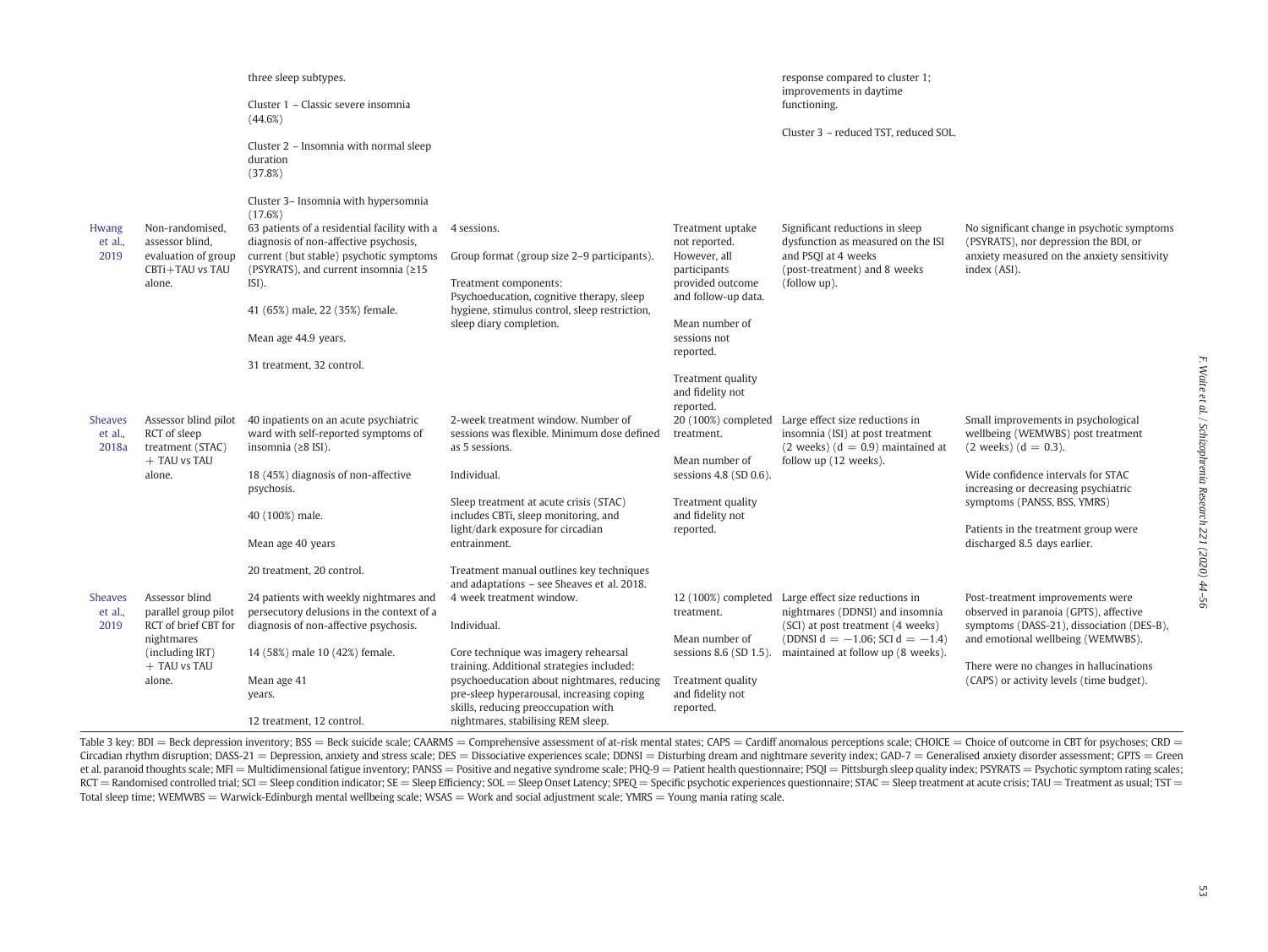|                             |                                                                                        | three sleep subtypes.<br>Cluster 1 – Classic severe insomnia<br>(44.6%)                                                                                                                                                                                                 |                                                                                                                                                                                   |                                                                                                              | response compared to cluster 1;<br>improvements in daytime<br>functioning.                                                                   |                                                                                                                                                     |
|-----------------------------|----------------------------------------------------------------------------------------|-------------------------------------------------------------------------------------------------------------------------------------------------------------------------------------------------------------------------------------------------------------------------|-----------------------------------------------------------------------------------------------------------------------------------------------------------------------------------|--------------------------------------------------------------------------------------------------------------|----------------------------------------------------------------------------------------------------------------------------------------------|-----------------------------------------------------------------------------------------------------------------------------------------------------|
|                             |                                                                                        | Cluster 2 - Insomnia with normal sleep<br>duration<br>(37.8%)                                                                                                                                                                                                           |                                                                                                                                                                                   |                                                                                                              | Cluster 3 - reduced TST, reduced SOL.                                                                                                        |                                                                                                                                                     |
| Hwang<br>et al.,<br>2019    | Non-randomised,<br>assessor blind,<br>evaluation of group<br>CBTi+TAU vs TAU<br>alone. | Cluster 3- Insomnia with hypersomnia<br>(17.6%)<br>63 patients of a residential facility with a<br>diagnosis of non-affective psychosis,<br>current (but stable) psychotic symptoms<br>(PSYRATS), and current insomnia (≥15<br>ISI).<br>41 (65%) male, 22 (35%) female. | 4 sessions.<br>Group format (group size 2–9 participants).<br>Treatment components:<br>Psychoeducation, cognitive therapy, sleep<br>hygiene, stimulus control, sleep restriction, | Treatment uptake<br>not reported.<br>However, all<br>participants<br>provided outcome<br>and follow-up data. | Significant reductions in sleep<br>dysfunction as measured on the ISI<br>and PSQI at 4 weeks<br>(post-treatment) and 8 weeks<br>(follow up). | No significant change in psychotic symptoms<br>(PSYRATS), nor depression the BDI, or<br>anxiety measured on the anxiety sensitivity<br>index (ASI). |
|                             |                                                                                        | Mean age 44.9 years.                                                                                                                                                                                                                                                    | sleep diary completion.                                                                                                                                                           | Mean number of<br>sessions not<br>reported.                                                                  |                                                                                                                                              |                                                                                                                                                     |
|                             |                                                                                        | 31 treatment, 32 control.                                                                                                                                                                                                                                               |                                                                                                                                                                                   | Treatment quality<br>and fidelity not<br>reported.                                                           |                                                                                                                                              |                                                                                                                                                     |
| Sheaves<br>et al.,<br>2018a | Assessor blind pilot<br>RCT of sleep<br>treatment (STAC)                               | 40 inpatients on an acute psychiatric<br>ward with self-reported symptoms of<br>insomnia $(28$ ISI).                                                                                                                                                                    | 2-week treatment window. Number of<br>sessions was flexible. Minimum dose defined<br>as 5 sessions.                                                                               | treatment.                                                                                                   | 20 (100%) completed Large effect size reductions in<br>insomnia (ISI) at post treatment<br>$(2 \text{ weeks})$ $(d = 0.9)$ maintained at     | Small improvements in psychological<br>wellbeing (WEMWBS) post treatment<br>$(2 \text{ weeks}) (d = 0.3).$                                          |
|                             | + TAU vs TAU<br>alone.                                                                 | 18 (45%) diagnosis of non-affective<br>psychosis.                                                                                                                                                                                                                       | Individual.                                                                                                                                                                       | Mean number of<br>sessions $4.8$ (SD $0.6$ ).                                                                | follow up (12 weeks).                                                                                                                        | Wide confidence intervals for STAC<br>increasing or decreasing psychiatric                                                                          |
|                             |                                                                                        | 40 (100%) male.                                                                                                                                                                                                                                                         | Sleep treatment at acute crisis (STAC)<br>includes CBTi, sleep monitoring, and<br>light/dark exposure for circadian                                                               | Treatment quality<br>and fidelity not<br>reported.                                                           |                                                                                                                                              | symptoms (PANSS, BSS, YMRS)<br>Patients in the treatment group were                                                                                 |
|                             |                                                                                        | Mean age 40 years<br>20 treatment, 20 control.                                                                                                                                                                                                                          | entrainment.<br>Treatment manual outlines key techniques                                                                                                                          |                                                                                                              |                                                                                                                                              | discharged 8.5 days earlier.                                                                                                                        |
| <b>Sheaves</b>              | Assessor blind                                                                         | 24 patients with weekly nightmares and                                                                                                                                                                                                                                  | and adaptations - see Sheaves et al. 2018.<br>4 week treatment window.                                                                                                            |                                                                                                              | 12 (100%) completed Large effect size reductions in                                                                                          | Post-treatment improvements were                                                                                                                    |
| et al.,<br>2019             | parallel group pilot<br>RCT of brief CBT for<br>nightmares                             | persecutory delusions in the context of a<br>diagnosis of non-affective psychosis.                                                                                                                                                                                      | Individual.                                                                                                                                                                       | treatment.<br>Mean number of                                                                                 | nightmares (DDNSI) and insomnia<br>(SCI) at post treatment (4 weeks)<br>(DDNSI $d = -1.06$ ; SCI $d = -1.4$ )                                | observed in paranoia (GPTS), affective<br>symptoms (DASS-21), dissociation (DES-B),<br>and emotional wellbeing (WEMWBS).                            |
|                             | (including IRT)<br>+ TAU vs TAU                                                        | 14 (58%) male 10 (42%) female.                                                                                                                                                                                                                                          | Core technique was imagery rehearsal<br>training. Additional strategies included:                                                                                                 | sessions $8.6$ (SD $1.5$ ).                                                                                  | maintained at follow up (8 weeks).                                                                                                           | There were no changes in hallucinations                                                                                                             |
|                             | alone.                                                                                 | Mean age 41<br>years.                                                                                                                                                                                                                                                   | psychoeducation about nightmares, reducing<br>pre-sleep hyperarousal, increasing coping<br>skills, reducing preoccupation with                                                    | Treatment quality<br>and fidelity not<br>reported.                                                           |                                                                                                                                              | (CAPS) or activity levels (time budget).                                                                                                            |
|                             |                                                                                        | 12 treatment, 12 control.                                                                                                                                                                                                                                               | nightmares, stabilising REM sleep.                                                                                                                                                |                                                                                                              |                                                                                                                                              |                                                                                                                                                     |

Table 3 key: BDI = Beck depression inventory; BSS = Beck suicide scale; CAARMS = Comprehensive assessment of at-risk mental states; CAPS = Cardiff anomalous perceptions scale; CHOICE = Choice of outcome in CBT for psychose Circadian rhythm disruption; DASS-21 = Depression, anxiety and stress scale; DES = Dissociative experiences scale; DDNSI = Disturbing dream and nightmare severity index; GAD-7 = Generalised anxiety disorder assessment; GPT et al. paranoid thoughts scale; MFI = Multidimensional fatigue inventory; PANSS = Positive and negative syndrome scale; PHQ-9 = Patient health questionnaire; PSQI = Pittsburgh sleep quality index; PSYRATS = Psychotic sympt RCT = Randomised controlled trial; SCI = Sleep condition indicator; SE = Sleep Efficiency; SOL = Sleep Diset Latency; SPEQ = Specific psychotic experiences questionnaire; STAC = Sleep treatment at acute crisis; TAU = Treat Total sleep time; WEMWBS = Warwick-Edinburgh mental wellbeing scale; WSAS = Work and social adjustment scale; YMRS = Young mania rating scale.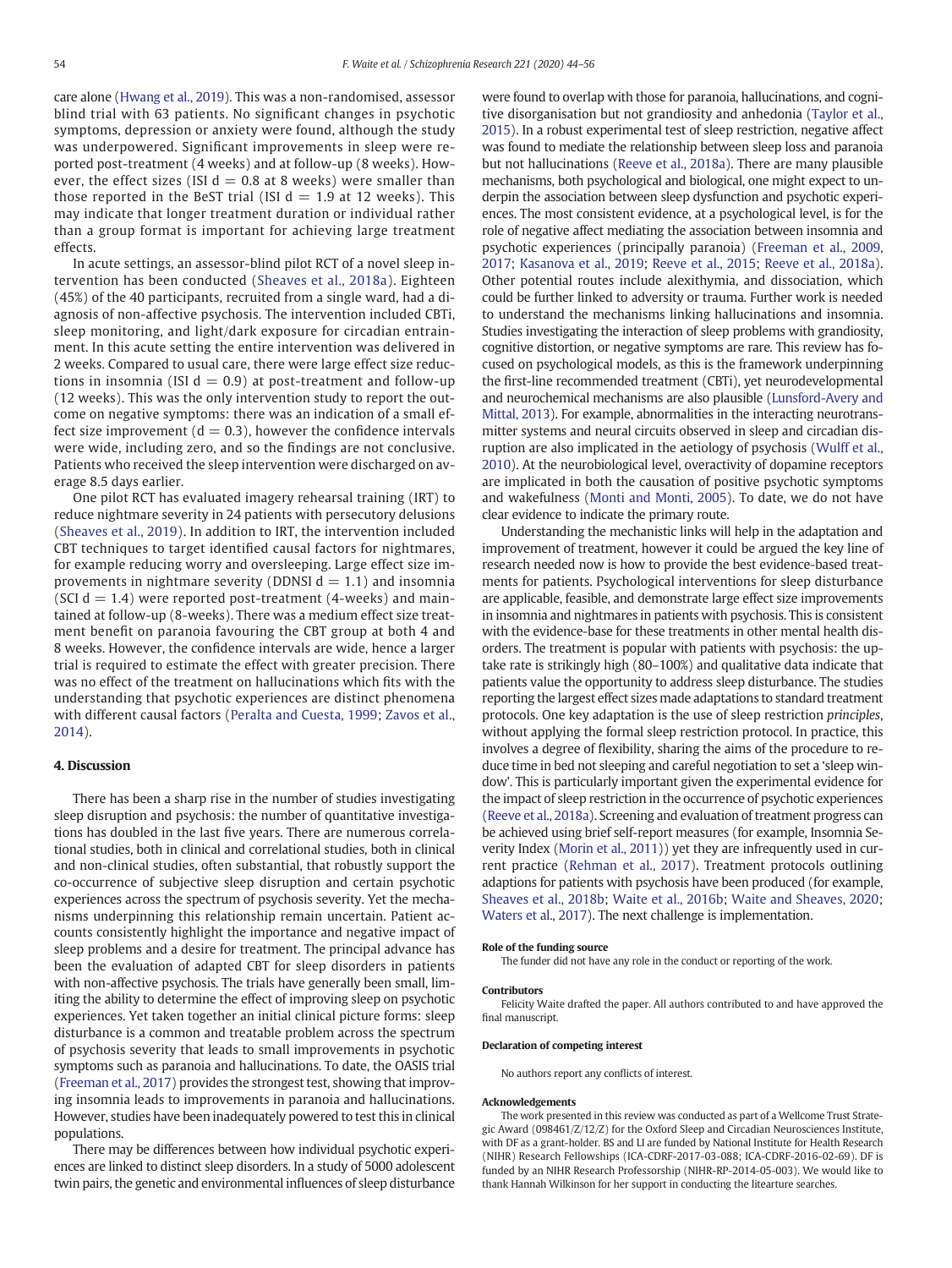care alone [\(Hwang et al., 2019](#page-11-0)). This was a non-randomised, assessor blind trial with 63 patients. No significant changes in psychotic symptoms, depression or anxiety were found, although the study was underpowered. Significant improvements in sleep were reported post-treatment (4 weeks) and at follow-up (8 weeks). However, the effect sizes (ISI  $d = 0.8$  at 8 weeks) were smaller than those reported in the BeST trial (ISI  $d = 1.9$  at 12 weeks). This may indicate that longer treatment duration or individual rather than a group format is important for achieving large treatment effects.

In acute settings, an assessor-blind pilot RCT of a novel sleep intervention has been conducted ([Sheaves et al., 2018a](#page-12-0)). Eighteen (45%) of the 40 participants, recruited from a single ward, had a diagnosis of non-affective psychosis. The intervention included CBTi, sleep monitoring, and light/dark exposure for circadian entrainment. In this acute setting the entire intervention was delivered in 2 weeks. Compared to usual care, there were large effect size reductions in insomnia (ISI  $d = 0.9$ ) at post-treatment and follow-up (12 weeks). This was the only intervention study to report the outcome on negative symptoms: there was an indication of a small effect size improvement ( $d = 0.3$ ), however the confidence intervals were wide, including zero, and so the findings are not conclusive. Patients who received the sleep intervention were discharged on average 8.5 days earlier.

One pilot RCT has evaluated imagery rehearsal training (IRT) to reduce nightmare severity in 24 patients with persecutory delusions [\(Sheaves et al., 2019](#page-12-0)). In addition to IRT, the intervention included CBT techniques to target identified causal factors for nightmares, for example reducing worry and oversleeping. Large effect size improvements in nightmare severity (DDNSI  $d = 1.1$ ) and insomnia (SCI  $d = 1.4$ ) were reported post-treatment (4-weeks) and maintained at follow-up (8-weeks). There was a medium effect size treatment benefit on paranoia favouring the CBT group at both 4 and 8 weeks. However, the confidence intervals are wide, hence a larger trial is required to estimate the effect with greater precision. There was no effect of the treatment on hallucinations which fits with the understanding that psychotic experiences are distinct phenomena with different causal factors [\(Peralta and Cuesta, 1999](#page-12-0); [Zavos et al.,](#page-12-0) [2014](#page-12-0)).

## 4. Discussion

There has been a sharp rise in the number of studies investigating sleep disruption and psychosis: the number of quantitative investigations has doubled in the last five years. There are numerous correlational studies, both in clinical and correlational studies, both in clinical and non-clinical studies, often substantial, that robustly support the co-occurrence of subjective sleep disruption and certain psychotic experiences across the spectrum of psychosis severity. Yet the mechanisms underpinning this relationship remain uncertain. Patient accounts consistently highlight the importance and negative impact of sleep problems and a desire for treatment. The principal advance has been the evaluation of adapted CBT for sleep disorders in patients with non-affective psychosis. The trials have generally been small, limiting the ability to determine the effect of improving sleep on psychotic experiences. Yet taken together an initial clinical picture forms: sleep disturbance is a common and treatable problem across the spectrum of psychosis severity that leads to small improvements in psychotic symptoms such as paranoia and hallucinations. To date, the OASIS trial [\(Freeman et al., 2017](#page-11-0)) provides the strongest test, showing that improving insomnia leads to improvements in paranoia and hallucinations. However, studies have been inadequately powered to test this in clinical populations.

There may be differences between how individual psychotic experiences are linked to distinct sleep disorders. In a study of 5000 adolescent twin pairs, the genetic and environmental influences of sleep disturbance were found to overlap with those for paranoia, hallucinations, and cognitive disorganisation but not grandiosity and anhedonia [\(Taylor et al.,](#page-12-0) [2015](#page-12-0)). In a robust experimental test of sleep restriction, negative affect was found to mediate the relationship between sleep loss and paranoia but not hallucinations ([Reeve et al., 2018a\)](#page-12-0). There are many plausible mechanisms, both psychological and biological, one might expect to underpin the association between sleep dysfunction and psychotic experiences. The most consistent evidence, at a psychological level, is for the role of negative affect mediating the association between insomnia and psychotic experiences (principally paranoia) ([Freeman et al., 2009,](#page-11-0) [2017;](#page-11-0) [Kasanova et al., 2019;](#page-11-0) [Reeve et al., 2015](#page-12-0); [Reeve et al., 2018a](#page-12-0)). Other potential routes include alexithymia, and dissociation, which could be further linked to adversity or trauma. Further work is needed to understand the mechanisms linking hallucinations and insomnia. Studies investigating the interaction of sleep problems with grandiosity, cognitive distortion, or negative symptoms are rare. This review has focused on psychological models, as this is the framework underpinning the first-line recommended treatment (CBTi), yet neurodevelopmental and neurochemical mechanisms are also plausible [\(Lunsford-Avery and](#page-11-0) [Mittal, 2013](#page-11-0)). For example, abnormalities in the interacting neurotransmitter systems and neural circuits observed in sleep and circadian disruption are also implicated in the aetiology of psychosis ([Wulff et al.,](#page-12-0) [2010\)](#page-12-0). At the neurobiological level, overactivity of dopamine receptors are implicated in both the causation of positive psychotic symptoms and wakefulness [\(Monti and Monti, 2005\)](#page-11-0). To date, we do not have clear evidence to indicate the primary route.

Understanding the mechanistic links will help in the adaptation and improvement of treatment, however it could be argued the key line of research needed now is how to provide the best evidence-based treatments for patients. Psychological interventions for sleep disturbance are applicable, feasible, and demonstrate large effect size improvements in insomnia and nightmares in patients with psychosis. This is consistent with the evidence-base for these treatments in other mental health disorders. The treatment is popular with patients with psychosis: the uptake rate is strikingly high (80–100%) and qualitative data indicate that patients value the opportunity to address sleep disturbance. The studies reporting the largest effect sizes made adaptations to standard treatment protocols. One key adaptation is the use of sleep restriction principles, without applying the formal sleep restriction protocol. In practice, this involves a degree of flexibility, sharing the aims of the procedure to reduce time in bed not sleeping and careful negotiation to set a 'sleep window'. This is particularly important given the experimental evidence for the impact of sleep restriction in the occurrence of psychotic experiences [\(Reeve et al., 2018a\)](#page-12-0). Screening and evaluation of treatment progress can be achieved using brief self-report measures (for example, Insomnia Severity Index ([Morin et al., 2011\)](#page-11-0)) yet they are infrequently used in current practice [\(Rehman et al., 2017](#page-12-0)). Treatment protocols outlining adaptions for patients with psychosis have been produced (for example, [Sheaves et al., 2018b](#page-12-0); [Waite et al., 2016b;](#page-12-0) [Waite and Sheaves, 2020](#page-12-0); [Waters et al., 2017](#page-12-0)). The next challenge is implementation.

#### Role of the funding source

The funder did not have any role in the conduct or reporting of the work.

#### Contributors

Felicity Waite drafted the paper. All authors contributed to and have approved the final manuscript.

#### Declaration of competing interest

No authors report any conflicts of interest.

#### Acknowledgements

The work presented in this review was conducted as part of a Wellcome Trust Strategic Award (098461/Z/12/Z) for the Oxford Sleep and Circadian Neurosciences Institute, with DF as a grant-holder. BS and LI are funded by National Institute for Health Research (NIHR) Research Fellowships (ICA-CDRF-2017-03-088; ICA-CDRF-2016-02-69). DF is funded by an NIHR Research Professorship (NIHR-RP-2014-05-003). We would like to thank Hannah Wilkinson for her support in conducting the litearture searches.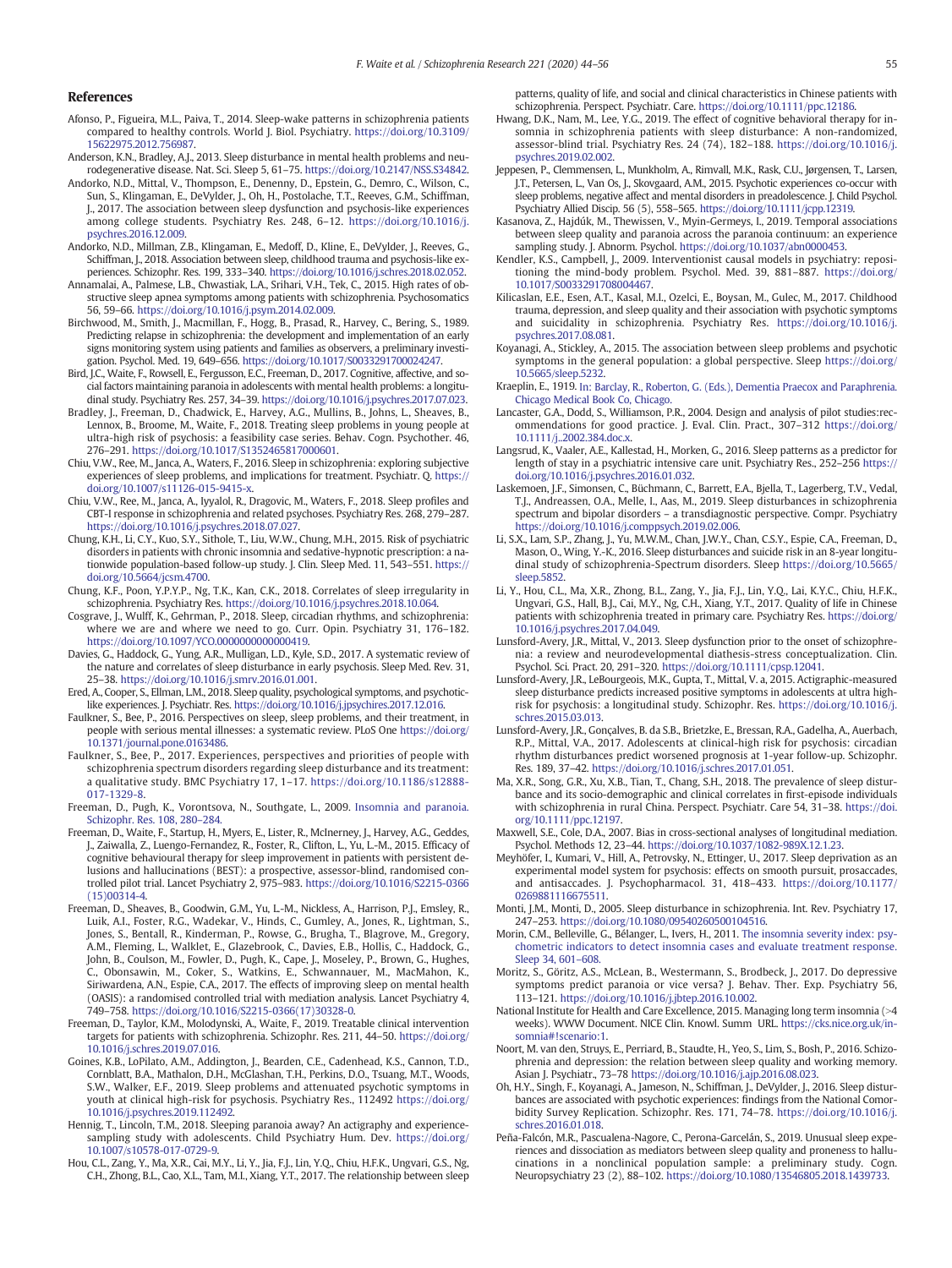### <span id="page-11-0"></span>References

- Afonso, P., Figueira, M.L., Paiva, T., 2014. Sleep-wake patterns in schizophrenia patients compared to healthy controls. World J. Biol. Psychiatry. [https://doi.org/10.3109/](https://doi.org/10.3109/15622975.2012.756987) [15622975.2012.756987](https://doi.org/10.3109/15622975.2012.756987).
- Anderson, K.N., Bradley, A.J., 2013. Sleep disturbance in mental health problems and neurodegenerative disease. Nat. Sci. Sleep 5, 61–75. <https://doi.org/10.2147/NSS.S34842>.
- Andorko, N.D., Mittal, V., Thompson, E., Denenny, D., Epstein, G., Demro, C., Wilson, C., Sun, S., Klingaman, E., DeVylder, J., Oh, H., Postolache, T.T., Reeves, G.M., Schiffman, J., 2017. The association between sleep dysfunction and psychosis-like experiences among college students. Psychiatry Res. 248, 6–12. [https://doi.org/10.1016/j.](https://doi.org/10.1016/j.psychres.2016.12.009) [psychres.2016.12.009](https://doi.org/10.1016/j.psychres.2016.12.009).
- Andorko, N.D., Millman, Z.B., Klingaman, E., Medoff, D., Kline, E., DeVylder, J., Reeves, G., Schiffman, J., 2018. Association between sleep, childhood trauma and psychosis-like experiences. Schizophr. Res. 199, 333–340. [https://doi.org/10.1016/j.schres.2018.02.052.](https://doi.org/10.1016/j.schres.2018.02.052)
- Annamalai, A., Palmese, L.B., Chwastiak, L.A., Srihari, V.H., Tek, C., 2015. High rates of obstructive sleep apnea symptoms among patients with schizophrenia. Psychosomatics 56, 59–66. [https://doi.org/10.1016/j.psym.2014.02.009.](https://doi.org/10.1016/j.psym.2014.02.009)
- Birchwood, M., Smith, J., Macmillan, F., Hogg, B., Prasad, R., Harvey, C., Bering, S., 1989. Predicting relapse in schizophrenia: the development and implementation of an early signs monitoring system using patients and families as observers, a preliminary investigation. Psychol. Med. 19, 649–656. [https://doi.org/10.1017/S0033291700024247.](https://doi.org/10.1017/S0033291700024247)
- Bird, J.C., Waite, F., Rowsell, E., Fergusson, E.C., Freeman, D., 2017. Cognitive, affective, and social factors maintaining paranoia in adolescents with mental health problems: a longitudinal study. Psychiatry Res. 257, 34–39. <https://doi.org/10.1016/j.psychres.2017.07.023>.
- Bradley, J., Freeman, D., Chadwick, E., Harvey, A.G., Mullins, B., Johns, L., Sheaves, B., Lennox, B., Broome, M., Waite, F., 2018. Treating sleep problems in young people at ultra-high risk of psychosis: a feasibility case series. Behav. Cogn. Psychother. 46, 276–291. [https://doi.org/10.1017/S1352465817000601.](https://doi.org/10.1017/S1352465817000601)
- Chiu, V.W., Ree, M., Janca, A., Waters, F., 2016. Sleep in schizophrenia: exploring subjective experiences of sleep problems, and implications for treatment. Psychiatr. Q. [https://](https://doi.org/10.1007/s11126-015-9415-x) [doi.org/10.1007/s11126-015-9415-x](https://doi.org/10.1007/s11126-015-9415-x).
- Chiu, V.W., Ree, M., Janca, A., Iyyalol, R., Dragovic, M., Waters, F., 2018. Sleep profiles and CBT-I response in schizophrenia and related psychoses. Psychiatry Res. 268, 279–287. <https://doi.org/10.1016/j.psychres.2018.07.027>.
- Chung, K.H., Li, C.Y., Kuo, S.Y., Sithole, T., Liu, W.W., Chung, M.H., 2015. Risk of psychiatric disorders in patients with chronic insomnia and sedative-hypnotic prescription: a nationwide population-based follow-up study. J. Clin. Sleep Med. 11, 543–551. [https://](https://doi.org/10.5664/jcsm.4700) [doi.org/10.5664/jcsm.4700.](https://doi.org/10.5664/jcsm.4700)
- Chung, K.F., Poon, Y.P.Y.P., Ng, T.K., Kan, C.K., 2018. Correlates of sleep irregularity in schizophrenia. Psychiatry Res. <https://doi.org/10.1016/j.psychres.2018.10.064>.
- Cosgrave, J., Wulff, K., Gehrman, P., 2018. Sleep, circadian rhythms, and schizophrenia: where we are and where we need to go. Curr. Opin. Psychiatry 31, 176–182. [https://doi.org/10.1097/YCO.0000000000000419.](https://doi.org/10.1097/YCO.0000000000000419)
- Davies, G., Haddock, G., Yung, A.R., Mulligan, L.D., Kyle, S.D., 2017. A systematic review of the nature and correlates of sleep disturbance in early psychosis. Sleep Med. Rev. 31, 25–38. <https://doi.org/10.1016/j.smrv.2016.01.001>.
- Ered, A., Cooper, S., Ellman, L.M., 2018. Sleep quality, psychological symptoms, and psychoticlike experiences. J. Psychiatr. Res. <https://doi.org/10.1016/j.jpsychires.2017.12.016>.
- Faulkner, S., Bee, P., 2016. Perspectives on sleep, sleep problems, and their treatment, in people with serious mental illnesses: a systematic review. PLoS One [https://doi.org/](https://doi.org/10.1371/journal.pone.0163486) [10.1371/journal.pone.0163486](https://doi.org/10.1371/journal.pone.0163486).
- Faulkner, S., Bee, P., 2017. Experiences, perspectives and priorities of people with schizophrenia spectrum disorders regarding sleep disturbance and its treatment: a qualitative study. BMC Psychiatry 17, 1–17. [https://doi.org/10.1186/s12888-](https://doi.org/10.1186/s12888-017-1329-8) [017-1329-8.](https://doi.org/10.1186/s12888-017-1329-8)
- Freeman, D., Pugh, K., Vorontsova, N., Southgate, L., 2009. [Insomnia and paranoia.](http://refhub.elsevier.com/S0920-9964(19)30523-7/rf0065) [Schizophr. Res. 108, 280](http://refhub.elsevier.com/S0920-9964(19)30523-7/rf0065)–284.
- Freeman, D., Waite, F., Startup, H., Myers, E., Lister, R., McInerney, J., Harvey, A.G., Geddes, J., Zaiwalla, Z., Luengo-Fernandez, R., Foster, R., Clifton, L., Yu, L.-M., 2015. Efficacy of cognitive behavioural therapy for sleep improvement in patients with persistent delusions and hallucinations (BEST): a prospective, assessor-blind, randomised controlled pilot trial. Lancet Psychiatry 2, 975–983. [https://doi.org/10.1016/S2215-0366](https://doi.org/10.1016/S2215-0366(15)00314-4) [\(15\)00314-4.](https://doi.org/10.1016/S2215-0366(15)00314-4)
- Freeman, D., Sheaves, B., Goodwin, G.M., Yu, L.-M., Nickless, A., Harrison, P.J., Emsley, R., Luik, A.I., Foster, R.G., Wadekar, V., Hinds, C., Gumley, A., Jones, R., Lightman, S., Jones, S., Bentall, R., Kinderman, P., Rowse, G., Brugha, T., Blagrove, M., Gregory, A.M., Fleming, L., Walklet, E., Glazebrook, C., Davies, E.B., Hollis, C., Haddock, G., John, B., Coulson, M., Fowler, D., Pugh, K., Cape, J., Moseley, P., Brown, G., Hughes, C., Obonsawin, M., Coker, S., Watkins, E., Schwannauer, M., MacMahon, K., Siriwardena, A.N., Espie, C.A., 2017. The effects of improving sleep on mental health (OASIS): a randomised controlled trial with mediation analysis. Lancet Psychiatry 4, 749–758. [https://doi.org/10.1016/S2215-0366\(17\)30328-0](https://doi.org/10.1016/S2215-0366(17)30328-0).
- Freeman, D., Taylor, K.M., Molodynski, A., Waite, F., 2019. Treatable clinical intervention targets for patients with schizophrenia. Schizophr. Res. 211, 44–50. [https://doi.org/](https://doi.org/10.1016/j.schres.2019.07.016) [10.1016/j.schres.2019.07.016](https://doi.org/10.1016/j.schres.2019.07.016).
- Goines, K.B., LoPilato, A.M., Addington, J., Bearden, C.E., Cadenhead, K.S., Cannon, T.D., Cornblatt, B.A., Mathalon, D.H., McGlashan, T.H., Perkins, D.O., Tsuang, M.T., Woods, S.W., Walker, E.F., 2019. Sleep problems and attenuated psychotic symptoms in youth at clinical high-risk for psychosis. Psychiatry Res., 112492 [https://doi.org/](https://doi.org/10.1016/j.psychres.2019.112492) [10.1016/j.psychres.2019.112492.](https://doi.org/10.1016/j.psychres.2019.112492)
- Hennig, T., Lincoln, T.M., 2018. Sleeping paranoia away? An actigraphy and experiencesampling study with adolescents. Child Psychiatry Hum. Dev. [https://doi.org/](https://doi.org/10.1007/s10578-017-0729-9) [10.1007/s10578-017-0729-9.](https://doi.org/10.1007/s10578-017-0729-9)
- Hou, C.L., Zang, Y., Ma, X.R., Cai, M.Y., Li, Y., Jia, F.J., Lin, Y.Q., Chiu, H.F.K., Ungvari, G.S., Ng, C.H., Zhong, B.L., Cao, X.L., Tam, M.I., Xiang, Y.T., 2017. The relationship between sleep

patterns, quality of life, and social and clinical characteristics in Chinese patients with schizophrenia. Perspect. Psychiatr. Care. [https://doi.org/10.1111/ppc.12186.](https://doi.org/10.1111/ppc.12186)

- Hwang, D.K., Nam, M., Lee, Y.G., 2019. The effect of cognitive behavioral therapy for insomnia in schizophrenia patients with sleep disturbance: A non-randomized, assessor-blind trial. Psychiatry Res. 24 (74), 182–188. [https://doi.org/10.1016/j.](https://doi.org/10.1016/j.psychres.2019.02.002) [psychres.2019.02.002](https://doi.org/10.1016/j.psychres.2019.02.002).
- Jeppesen, P., Clemmensen, L., Munkholm, A., Rimvall, M.K., Rask, C.U., Jørgensen, T., Larsen, J.T., Petersen, L., Van Os, J., Skovgaard, A.M., 2015. Psychotic experiences co-occur with sleep problems, negative affect and mental disorders in preadolescence. J. Child Psychol. Psychiatry Allied Discip. 56 (5), 558–565. [https://doi.org/10.1111/jcpp.12319.](https://doi.org/10.1111/jcpp.12319)
- Kasanova, Z., Hajdúk, M., Thewissen, V., Myin-Germeys, I., 2019. Temporal associations between sleep quality and paranoia across the paranoia continuum: an experience sampling study. J. Abnorm. Psychol. [https://doi.org/10.1037/abn0000453.](https://doi.org/10.1037/abn0000453)
- Kendler, K.S., Campbell, J., 2009. Interventionist causal models in psychiatry: repositioning the mind-body problem. Psychol. Med. 39, 881–887. [https://doi.org/](https://doi.org/10.1017/S0033291708004467) [10.1017/S0033291708004467.](https://doi.org/10.1017/S0033291708004467)
- Kilicaslan, E.E., Esen, A.T., Kasal, M.I., Ozelci, E., Boysan, M., Gulec, M., 2017. Childhood trauma, depression, and sleep quality and their association with psychotic symptoms and suicidality in schizophrenia. Psychiatry Res. [https://doi.org/10.1016/j.](https://doi.org/10.1016/j.psychres.2017.08.081) [psychres.2017.08.081](https://doi.org/10.1016/j.psychres.2017.08.081).
- Koyanagi, A., Stickley, A., 2015. The association between sleep problems and psychotic symptoms in the general population: a global perspective. Sleep [https://doi.org/](https://doi.org/10.5665/sleep.5232) [10.5665/sleep.5232.](https://doi.org/10.5665/sleep.5232)
- Kraeplin, E., 1919. [In: Barclay, R., Roberton, G. \(Eds.\), Dementia Praecox and Paraphrenia.](http://refhub.elsevier.com/S0920-9964(19)30523-7/rf0120) [Chicago Medical Book Co, Chicago](http://refhub.elsevier.com/S0920-9964(19)30523-7/rf0120).
- Lancaster, G.A., Dodd, S., Williamson, P.R., 2004. Design and analysis of pilot studies:recommendations for good practice. J. Eval. Clin. Pract., 307–312 [https://doi.org/](https://doi.org/10.1111/j..2002.384.doc.x) [10.1111/j..2002.384.doc.x](https://doi.org/10.1111/j..2002.384.doc.x).
- Langsrud, K., Vaaler, A.E., Kallestad, H., Morken, G., 2016. Sleep patterns as a predictor for length of stay in a psychiatric intensive care unit. Psychiatry Res., 252–256 [https://](https://doi.org/10.1016/j.psychres.2016.01.032) [doi.org/10.1016/j.psychres.2016.01.032](https://doi.org/10.1016/j.psychres.2016.01.032).
- Laskemoen, J.F., Simonsen, C., Büchmann, C., Barrett, E.A., Bjella, T., Lagerberg, T.V., Vedal, T.J., Andreassen, O.A., Melle, I., Aas, M., 2019. Sleep disturbances in schizophrenia spectrum and bipolar disorders – a transdiagnostic perspective. Compr. Psychiatry [https://doi.org/10.1016/j.comppsych.2019.02.006.](https://doi.org/10.1016/j.comppsych.2019.02.006)
- Li, S.X., Lam, S.P., Zhang, J., Yu, M.W.M., Chan, J.W.Y., Chan, C.S.Y., Espie, C.A., Freeman, D., Mason, O., Wing, Y.-K., 2016. Sleep disturbances and suicide risk in an 8-year longitudinal study of schizophrenia-Spectrum disorders. Sleep [https://doi.org/10.5665/](https://doi.org/10.5665/sleep.5852) [sleep.5852.](https://doi.org/10.5665/sleep.5852)
- Li, Y., Hou, C.L., Ma, X.R., Zhong, B.L., Zang, Y., Jia, F.J., Lin, Y.Q., Lai, K.Y.C., Chiu, H.F.K., Ungvari, G.S., Hall, B.J., Cai, M.Y., Ng, C.H., Xiang, Y.T., 2017. Quality of life in Chinese patients with schizophrenia treated in primary care. Psychiatry Res. [https://doi.org/](https://doi.org/10.1016/j.psychres.2017.04.049) [10.1016/j.psychres.2017.04.049](https://doi.org/10.1016/j.psychres.2017.04.049).
- Lunsford-Avery, J.R., Mittal, V., 2013. Sleep dysfunction prior to the onset of schizophrenia: a review and neurodevelopmental diathesis-stress conceptualization. Clin. Psychol. Sci. Pract. 20, 291–320. <https://doi.org/10.1111/cpsp.12041>.
- Lunsford-Avery, J.R., LeBourgeois, M.K., Gupta, T., Mittal, V. a, 2015. Actigraphic-measured sleep disturbance predicts increased positive symptoms in adolescents at ultra highrisk for psychosis: a longitudinal study. Schizophr. Res. [https://doi.org/10.1016/j.](https://doi.org/10.1016/j.schres.2015.03.013) [schres.2015.03.013](https://doi.org/10.1016/j.schres.2015.03.013).
- Lunsford-Avery, J.R., Gonçalves, B. da S.B., Brietzke, E., Bressan, R.A., Gadelha, A., Auerbach, R.P., Mittal, V.A., 2017. Adolescents at clinical-high risk for psychosis: circadian rhythm disturbances predict worsened prognosis at 1-year follow-up. Schizophr. Res. 189, 37–42. <https://doi.org/10.1016/j.schres.2017.01.051>.
- Ma, X.R., Song, G.R., Xu, X.B., Tian, T., Chang, S.H., 2018. The prevalence of sleep disturbance and its socio-demographic and clinical correlates in first-episode individuals with schizophrenia in rural China. Perspect. Psychiatr. Care 54, 31–38. [https://doi.](https://doi.org/10.1111/ppc.12197) [org/10.1111/ppc.12197](https://doi.org/10.1111/ppc.12197).
- Maxwell, S.E., Cole, D.A., 2007. Bias in cross-sectional analyses of longitudinal mediation. Psychol. Methods 12, 23–44. [https://doi.org/10.1037/1082-989X.12.1.23.](https://doi.org/10.1037/1082-989X.12.1.23)
- Meyhöfer, I., Kumari, V., Hill, A., Petrovsky, N., Ettinger, U., 2017. Sleep deprivation as an experimental model system for psychosis: effects on smooth pursuit, prosaccades, and antisaccades. J. Psychopharmacol. 31, 418–433. [https://doi.org/10.1177/](https://doi.org/10.1177/0269881116675511) [0269881116675511](https://doi.org/10.1177/0269881116675511).
- Monti, J.M., Monti, D., 2005. Sleep disturbance in schizophrenia. Int. Rev. Psychiatry 17, 247–253. [https://doi.org/10.1080/09540260500104516.](https://doi.org/10.1080/09540260500104516)
- Morin, C.M., Belleville, G., Bélanger, L., Ivers, H., 2011. [The insomnia severity index: psy](http://refhub.elsevier.com/S0920-9964(19)30523-7/rf0175)[chometric indicators to detect insomnia cases and evaluate treatment response.](http://refhub.elsevier.com/S0920-9964(19)30523-7/rf0175) [Sleep 34, 601](http://refhub.elsevier.com/S0920-9964(19)30523-7/rf0175)–608.
- Moritz, S., Göritz, A.S., McLean, B., Westermann, S., Brodbeck, J., 2017. Do depressive symptoms predict paranoia or vice versa? J. Behav. Ther. Exp. Psychiatry 56, 113–121. <https://doi.org/10.1016/j.jbtep.2016.10.002>.
- National Institute for Health and Care Excellence, 2015. Managing long term insomnia (>4 weeks). WWW Document. NICE Clin. Knowl. Summ URL. [https://cks.nice.org.uk/in](https://cks.nice.org.uk/insomnia#!scenario:1)[somnia#!scenario:1](https://cks.nice.org.uk/insomnia#!scenario:1).
- Noort, M. van den, Struys, E., Perriard, B., Staudte, H., Yeo, S., Lim, S., Bosh, P., 2016. Schizophrenia and depression: the relation between sleep quality and working memory. Asian J. Psychiatr., 73–78 [https://doi.org/10.1016/j.ajp.2016.08.023.](https://doi.org/10.1016/j.ajp.2016.08.023)
- Oh, H.Y., Singh, F., Koyanagi, A., Jameson, N., Schiffman, J., DeVylder, J., 2016. Sleep disturbances are associated with psychotic experiences: findings from the National Comorbidity Survey Replication. Schizophr. Res. 171, 74–78. [https://doi.org/10.1016/j.](https://doi.org/10.1016/j.schres.2016.01.018) [schres.2016.01.018](https://doi.org/10.1016/j.schres.2016.01.018).
- Peña-Falcón, M.R., Pascualena-Nagore, C., Perona-Garcelán, S., 2019. Unusual sleep experiences and dissociation as mediators between sleep quality and proneness to hallucinations in a nonclinical population sample: a preliminary study. Cogn. Neuropsychiatry 23 (2), 88–102. <https://doi.org/10.1080/13546805.2018.1439733>.